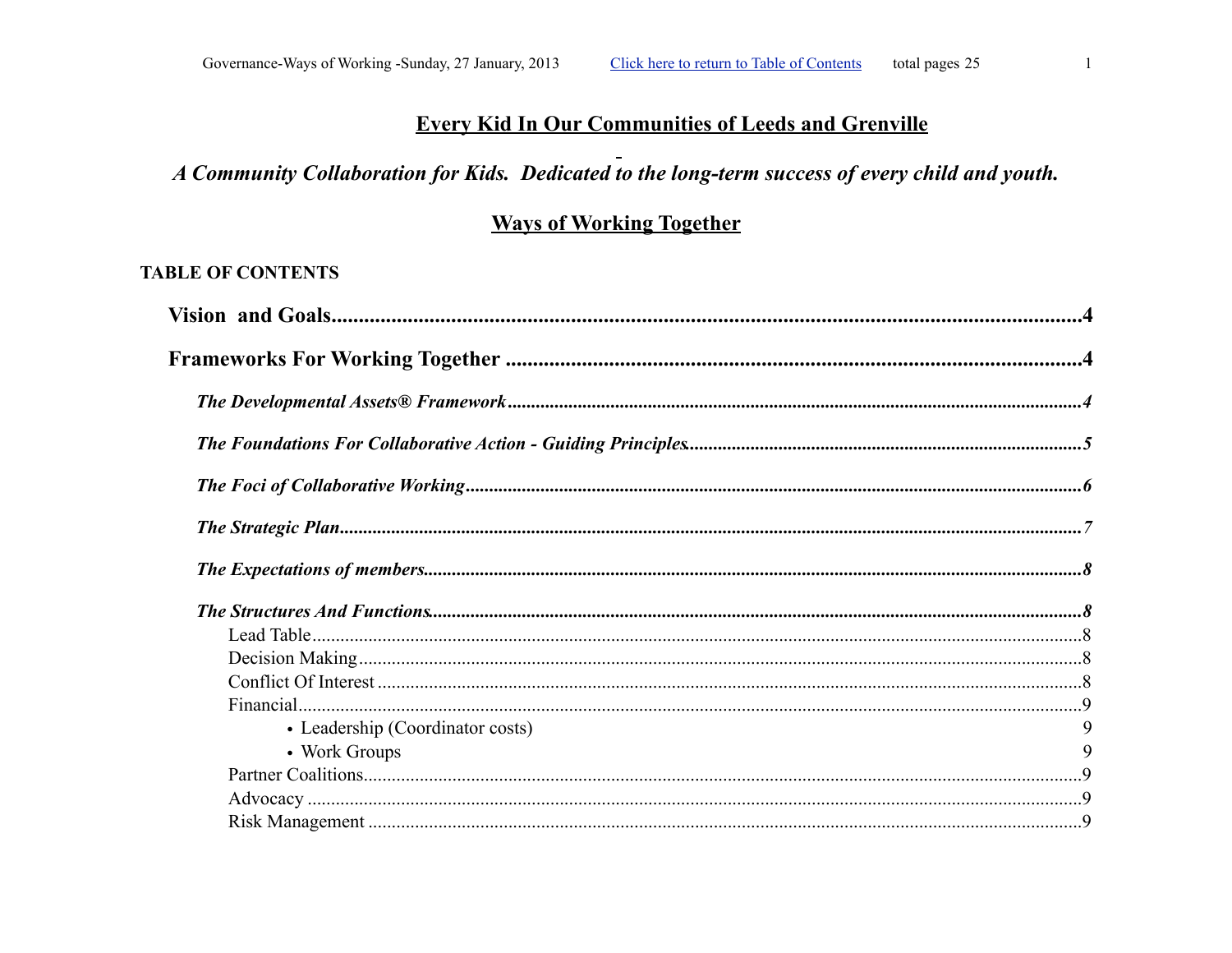# **Every Kid In Our Communities of Leeds and Grenville**

# A Community Collaboration for Kids. Dedicated to the long-term success of every child and youth.

# **Ways of Working Together**

## <span id="page-0-0"></span>**TABLE OF CONTENTS**

| • Leadership (Coordinator costs) | 9 |
|----------------------------------|---|
| • Work Groups                    | 9 |
|                                  |   |
|                                  |   |
|                                  |   |
|                                  |   |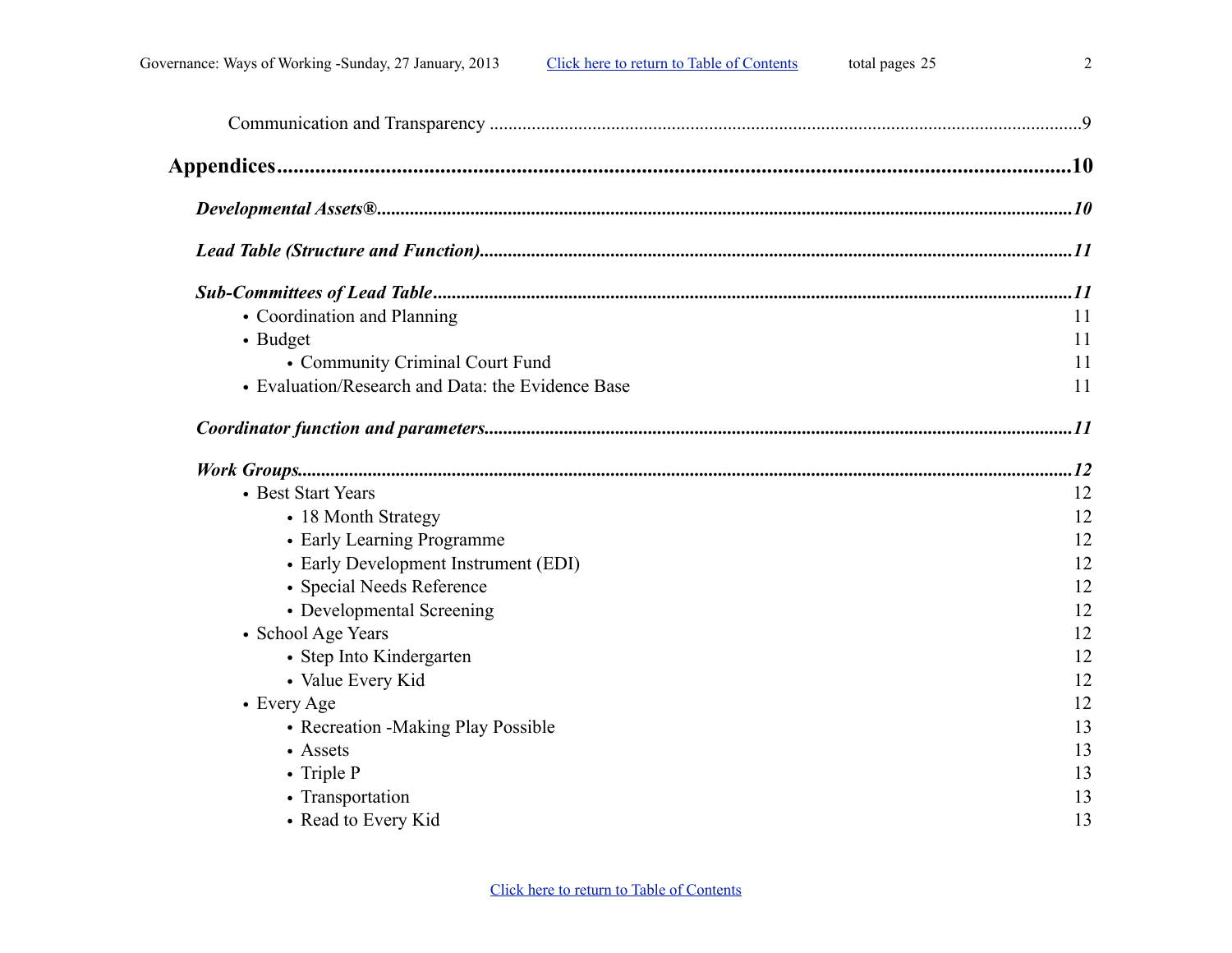|  |  | ź |
|--|--|---|
|  |  |   |
|  |  |   |
|  |  |   |
|  |  |   |
|  |  |   |

| • Coordination and Planning                       | 11 |
|---------------------------------------------------|----|
| • Budget                                          | 11 |
| • Community Criminal Court Fund                   | 11 |
| • Evaluation/Research and Data: the Evidence Base | 11 |
|                                                   |    |
|                                                   |    |
| • Best Start Years                                | 12 |
| • 18 Month Strategy                               | 12 |
| • Early Learning Programme                        | 12 |
| • Early Development Instrument (EDI)              | 12 |
| • Special Needs Reference                         | 12 |
| • Developmental Screening                         | 12 |
| • School Age Years                                | 12 |
| • Step Into Kindergarten                          | 12 |
| • Value Every Kid                                 | 12 |
| • Every Age                                       | 12 |
| • Recreation - Making Play Possible               | 13 |
| • Assets                                          | 13 |
| • Triple P                                        | 13 |
| • Transportation                                  | 13 |
| • Read to Every Kid                               | 13 |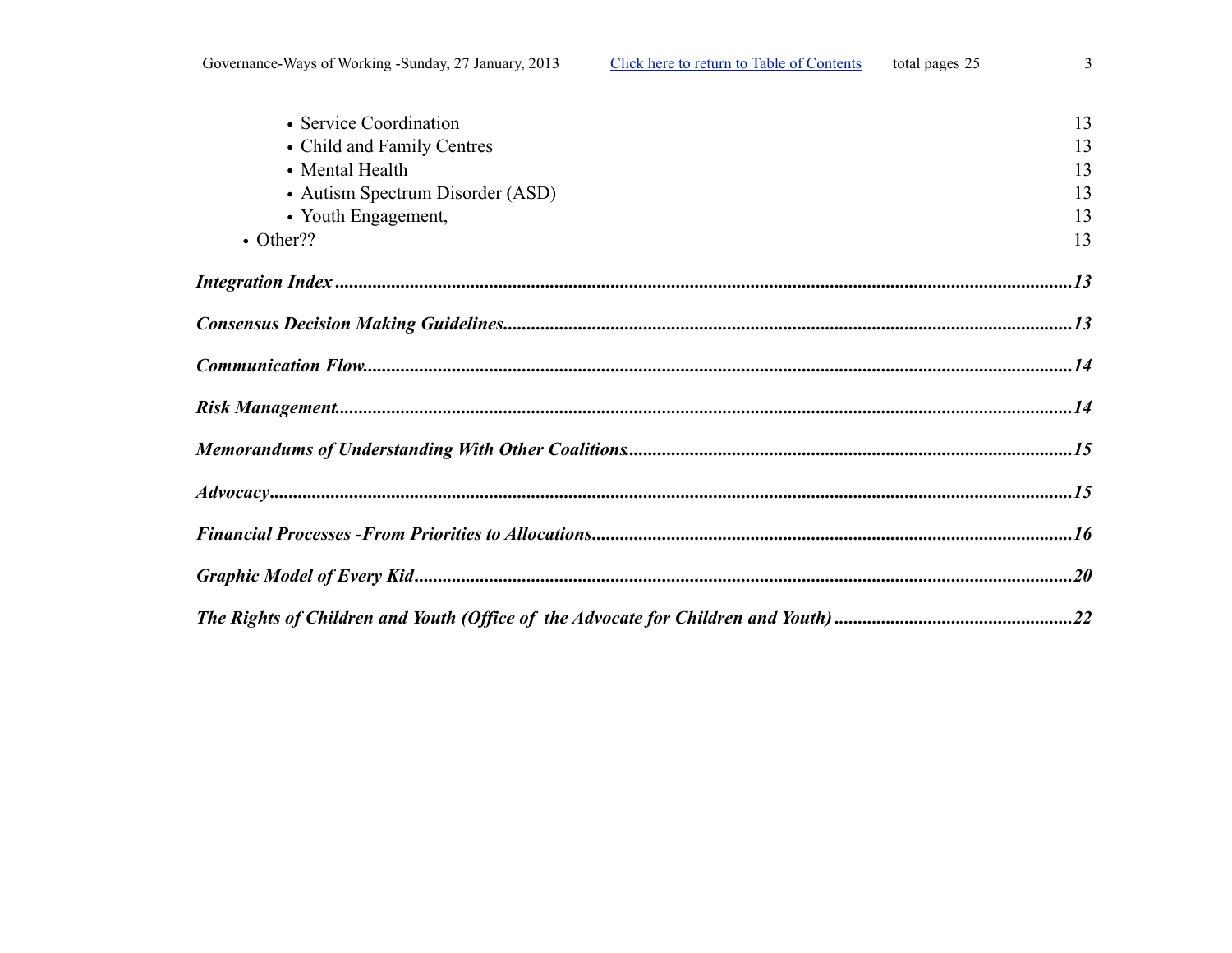| • Service Coordination           | 13 |
|----------------------------------|----|
| • Child and Family Centres       | 13 |
| • Mental Health                  | 13 |
|                                  |    |
| • Autism Spectrum Disorder (ASD) | 13 |
| • Youth Engagement,              | 13 |
| $\bullet$ Other??                | 13 |
|                                  |    |
|                                  |    |
|                                  |    |
| $\it Risk \ Management 14$       |    |
|                                  |    |
|                                  |    |
|                                  |    |
|                                  |    |
|                                  |    |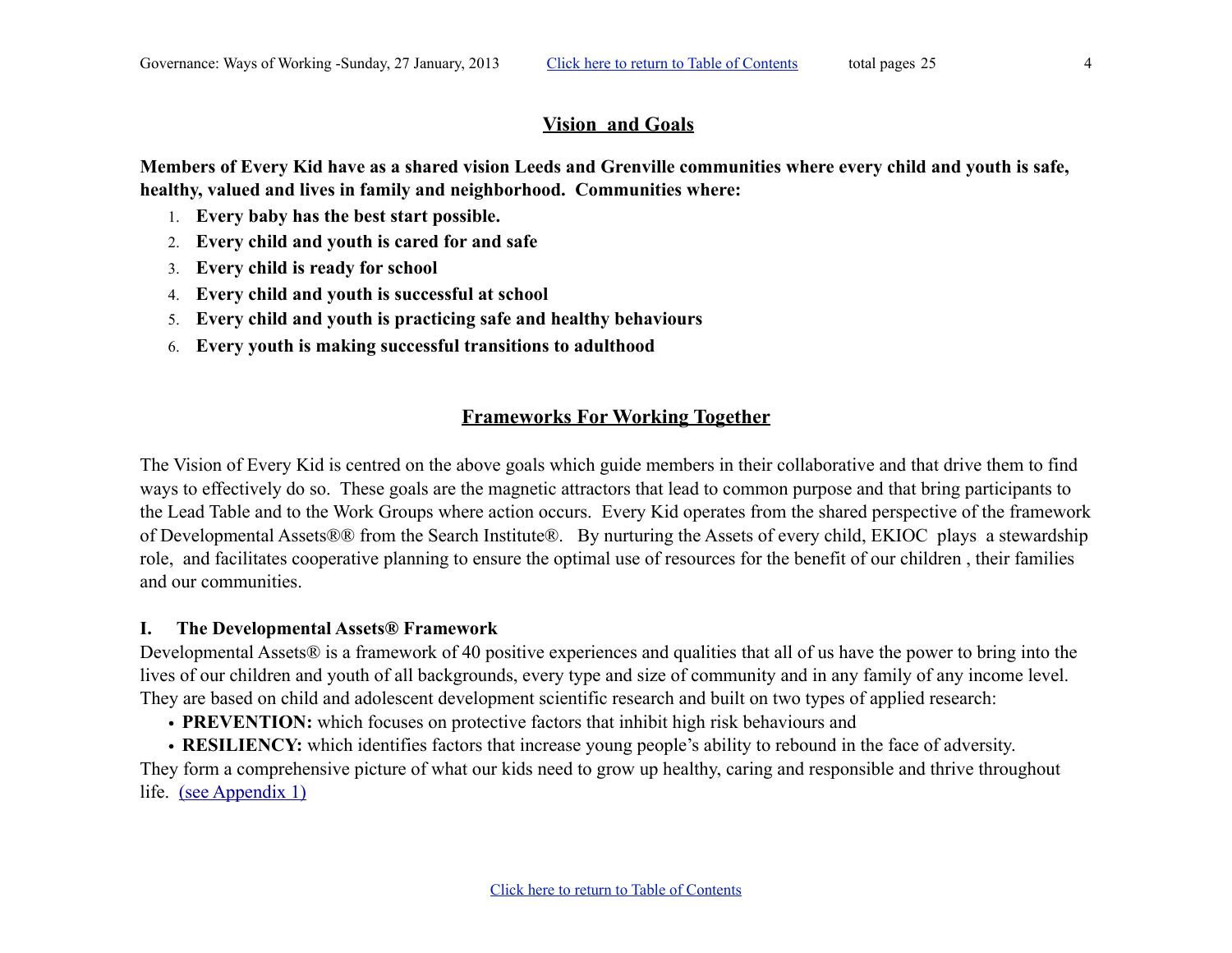#### <span id="page-3-0"></span>**Vision and Goals**

**Members of Every Kid have as a shared vision Leeds and Grenville communities where every child and youth is safe, healthy, valued and lives in family and neighborhood. Communities where:**

- 1. **Every baby has the best start possible.**
- 2. **Every child and youth is cared for and safe**
- 3. **Every child is ready for school**
- 4. **Every child and youth is successful at school**
- 5. **Every child and youth is practicing safe and healthy behaviours**
- 6. **Every youth is making successful transitions to adulthood**

## <span id="page-3-1"></span>**Frameworks For Working Together**

The Vision of Every Kid is centred on the above goals which guide members in their collaborative and that drive them to find ways to effectively do so. These goals are the magnetic attractors that lead to common purpose and that bring participants to the Lead Table and to the Work Groups where action occurs. Every Kid operates from the shared perspective of the framework of Developmental Assets®® from the Search Institute®. By nurturing the Assets of every child, EKIOC plays a stewardship role, and facilitates cooperative planning to ensure the optimal use of resources for the benefit of our children , their families and our communities.

#### <span id="page-3-2"></span>**I. The Developmental Assets® Framework**

Developmental Assets<sup>®</sup> is a framework of 40 positive experiences and qualities that all of us have the power to bring into the lives of our children and youth of all backgrounds, every type and size of community and in any family of any income level. They are based on child and adolescent development scientific research and built on two types of applied research:

- **PREVENTION:** which focuses on protective factors that inhibit high risk behaviours and
- **RESILIENCY:** which identifies factors that increase young people's ability to rebound in the face of adversity.

They form a comprehensive picture of what our kids need to grow up healthy, caring and responsible and thrive throughout life. [\(see Appendix 1\)](#page-9-1)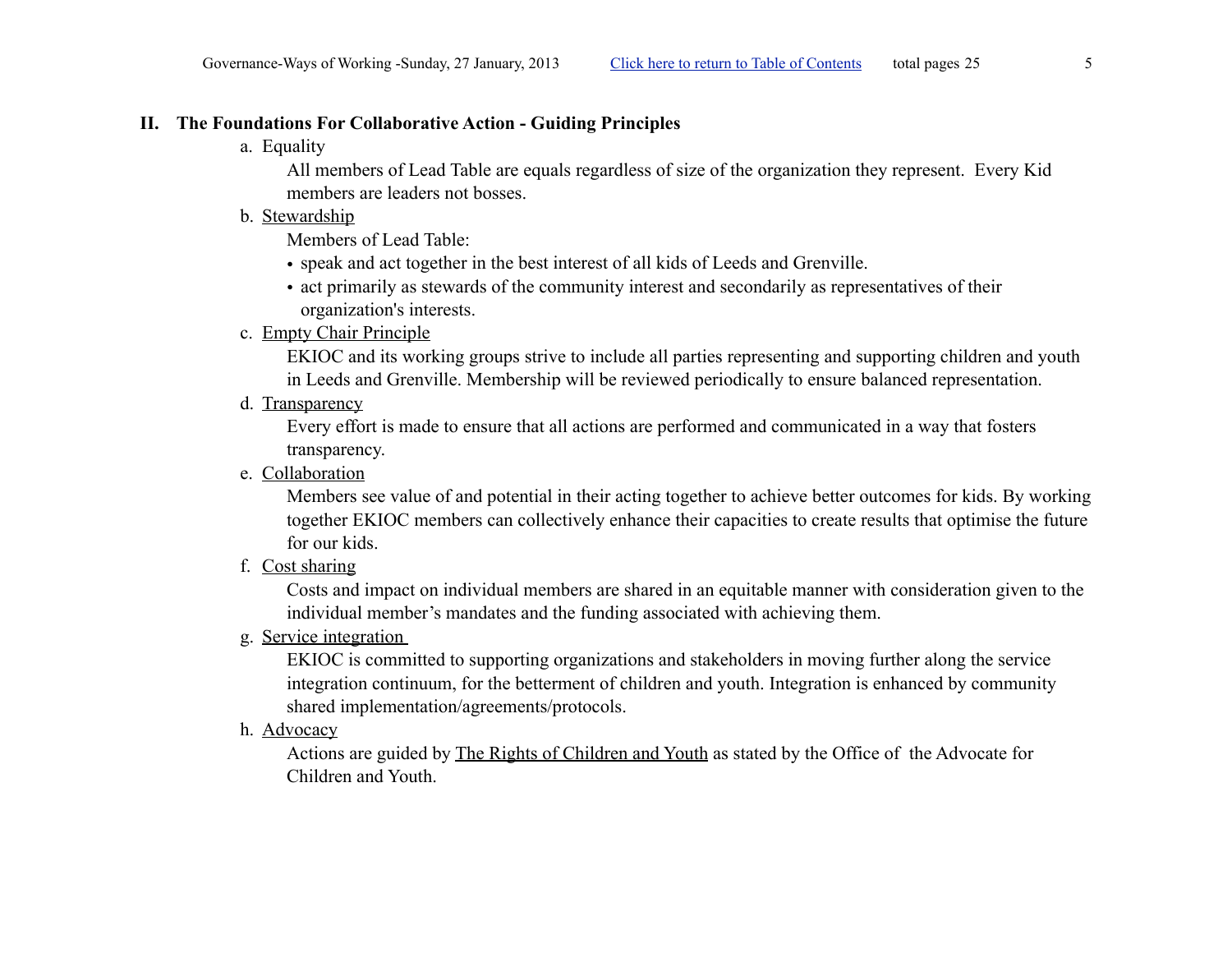#### <span id="page-4-0"></span>**II. The Foundations For Collaborative Action - Guiding Principles**

a. Equality

All members of Lead Table are equals regardless of size of the organization they represent. Every Kid members are leaders not bosses.

b. Stewardship

Members of Lead Table:

- speak and act together in the best interest of all kids of Leeds and Grenville.
- act primarily as stewards of the community interest and secondarily as representatives of their organization's interests.
- c. Empty Chair Principle

EKIOC and its working groups strive to include all parties representing and supporting children and youth in Leeds and Grenville. Membership will be reviewed periodically to ensure balanced representation.

d. Transparency

Every effort is made to ensure that all actions are performed and communicated in a way that fosters transparency.

e. Collaboration

Members see value of and potential in their acting together to achieve better outcomes for kids. By working together EKIOC members can collectively enhance their capacities to create results that optimise the future for our kids.

f. Cost sharing

Costs and impact on individual members are shared in an equitable manner with consideration given to the individual member's mandates and the funding associated with achieving them.

g. [Service integration](#page-12-11) 

EKIOC is committed to supporting organizations and stakeholders in moving further along the service integration continuum, for the betterment of children and youth. Integration is enhanced by community shared implementation/agreements/protocols.

h. Advocacy

Actions are guided by [The Rights of Children and Youth](#page-21-0) as stated by the Office of the Advocate for Children and Youth.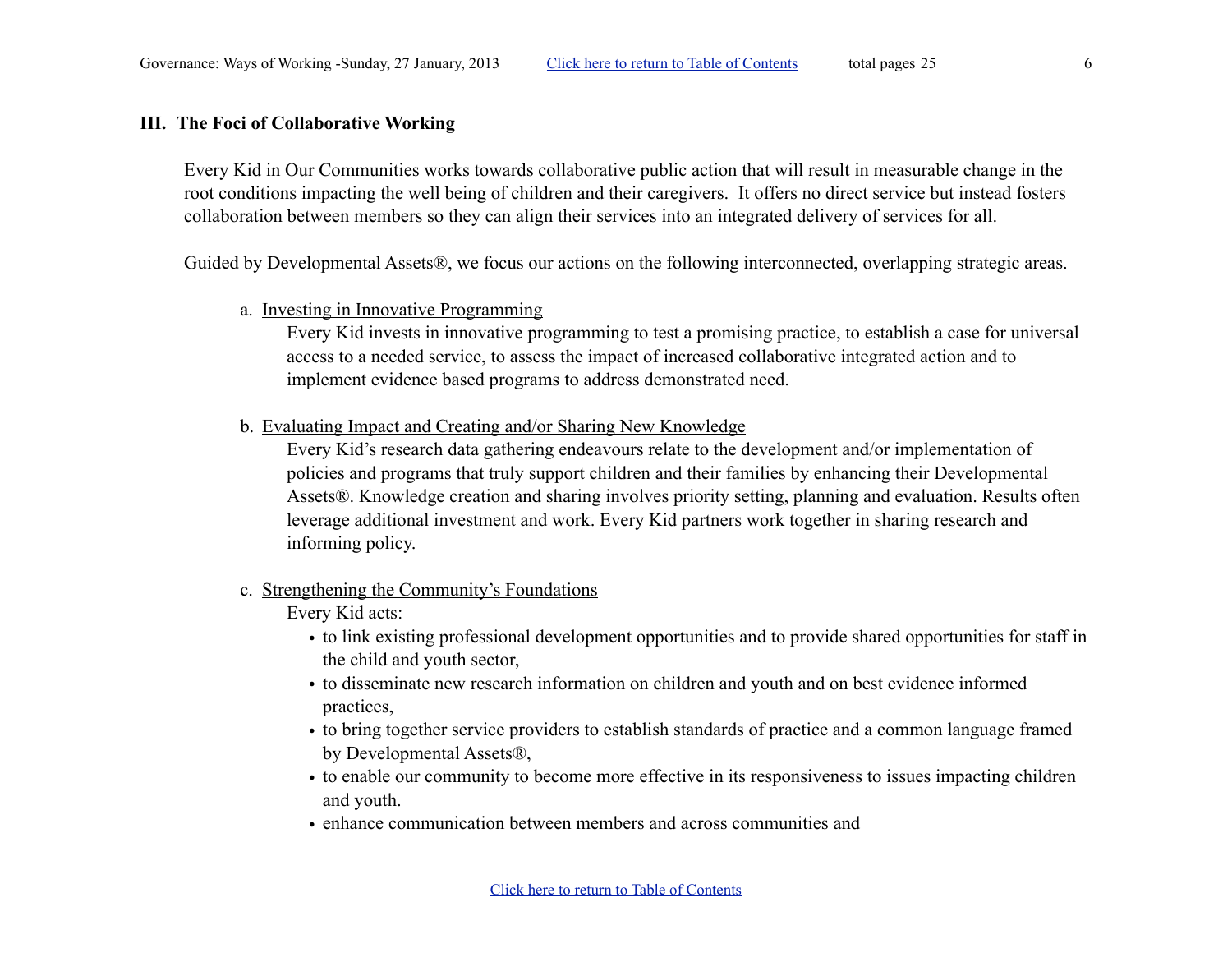#### <span id="page-5-0"></span>**III. The Foci of Collaborative Working**

Every Kid in Our Communities works towards collaborative public action that will result in measurable change in the root conditions impacting the well being of children and their caregivers. It offers no direct service but instead fosters collaboration between members so they can align their services into an integrated delivery of services for all.

Guided by Developmental Assets®, we focus our actions on the following interconnected, overlapping strategic areas.

#### a. Investing in Innovative Programming

Every Kid invests in innovative programming to test a promising practice, to establish a case for universal access to a needed service, to assess the impact of increased collaborative integrated action and to implement evidence based programs to address demonstrated need.

b. Evaluating Impact and Creating and/or Sharing New Knowledge

Every Kid's research data gathering endeavours relate to the development and/or implementation of policies and programs that truly support children and their families by enhancing their Developmental Assets®. Knowledge creation and sharing involves priority setting, planning and evaluation. Results often leverage additional investment and work. Every Kid partners work together in sharing research and informing policy.

c. Strengthening the Community's Foundations

Every Kid acts:

- to link existing professional development opportunities and to provide shared opportunities for staff in the child and youth sector,
- to disseminate new research information on children and youth and on best evidence informed practices,
- to bring together service providers to establish standards of practice and a common language framed by Developmental Assets®,
- to enable our community to become more effective in its responsiveness to issues impacting children and youth.
- enhance communication between members and across communities and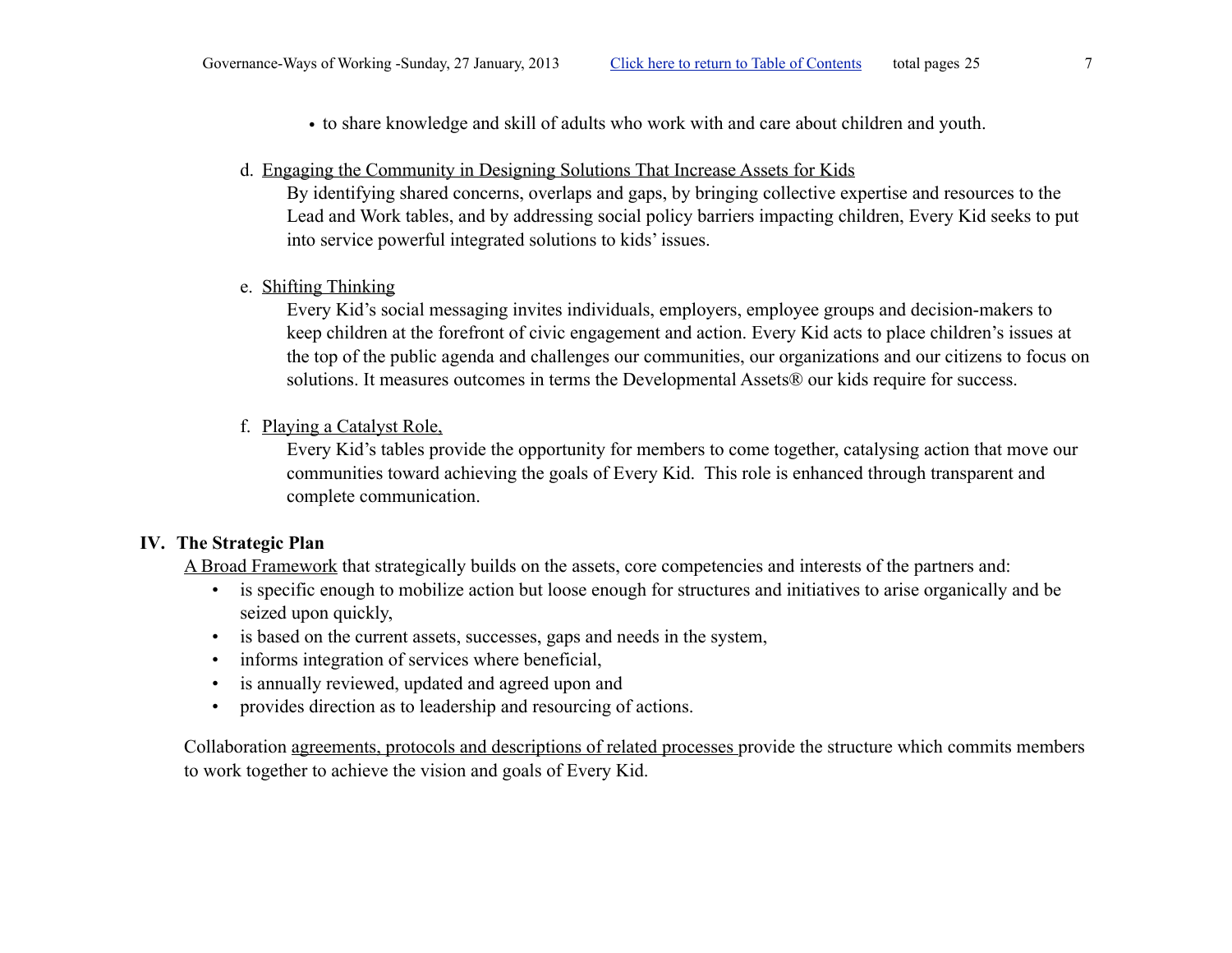- to share knowledge and skill of adults who work with and care about children and youth.
- d. Engaging the Community in Designing Solutions That Increase Assets for Kids

By identifying shared concerns, overlaps and gaps, by bringing collective expertise and resources to the Lead and Work tables, and by addressing social policy barriers impacting children, Every Kid seeks to put into service powerful integrated solutions to kids' issues.

e. Shifting Thinking

Every Kid's social messaging invites individuals, employers, employee groups and decision-makers to keep children at the forefront of civic engagement and action. Every Kid acts to place children's issues at the top of the public agenda and challenges our communities, our organizations and our citizens to focus on solutions. It measures outcomes in terms the Developmental Assets® our kids require for success.

f. Playing a Catalyst Role,

Every Kid's tables provide the opportunity for members to come together, catalysing action that move our communities toward achieving the goals of Every Kid. This role is enhanced through transparent and complete communication.

#### **IV. The Strategic Plan**

<span id="page-6-0"></span>A Broad Framework that strategically builds on the assets, core competencies and interests of the partners and:

- is specific enough to mobilize action but loose enough for structures and initiatives to arise organically and be seized upon quickly,
- is based on the current assets, successes, gaps and needs in the system,
- informs integration of services where beneficial,
- is annually reviewed, updated and agreed upon and
- provides direction as to leadership and resourcing of actions.

Collaboration agreements, protocols and descriptions of related processes provide the structure which commits members to work together to achieve the vision and goals of Every Kid.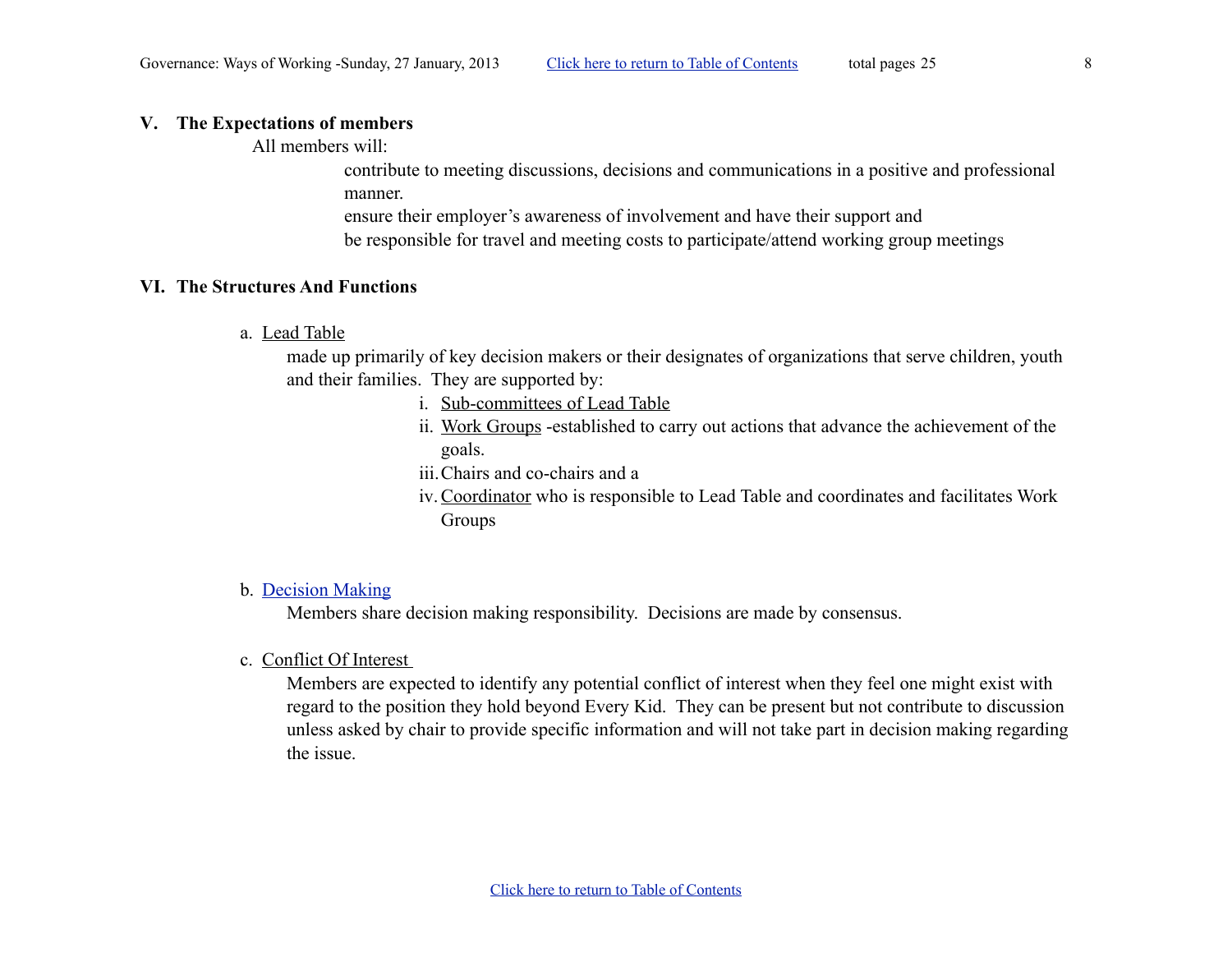#### <span id="page-7-0"></span>**V. The Expectations of members**

All members will:

contribute to meeting discussions, decisions and communications in a positive and professional manner.

ensure their employer's awareness of involvement and have their support and be responsible for travel and meeting costs to participate/attend working group meetings

#### <span id="page-7-1"></span>**VI. The Structures And Functions**

<span id="page-7-2"></span>a. [Lead Table](#page-10-0)

made up primarily of key decision makers or their designates of organizations that serve children, youth and their families. They are supported by:

- i. [Sub-committees of Lead Table](#page-10-1)
- ii. [Work Groups](#page-11-0) -established to carry out actions that advance the achievement of the goals.
- iii.Chairs and co-chairs and a
- iv.[Coordinator](#page-10-6) who is responsible to Lead Table and coordinates and facilitates Work Groups

#### <span id="page-7-3"></span>b. [Decision Making](#page-12-12)

Members share decision making responsibility. Decisions are made by consensus.

<span id="page-7-4"></span>c. Conflict Of Interest

Members are expected to identify any potential conflict of interest when they feel one might exist with regard to the position they hold beyond Every Kid. They can be present but not contribute to discussion unless asked by chair to provide specific information and will not take part in decision making regarding the issue.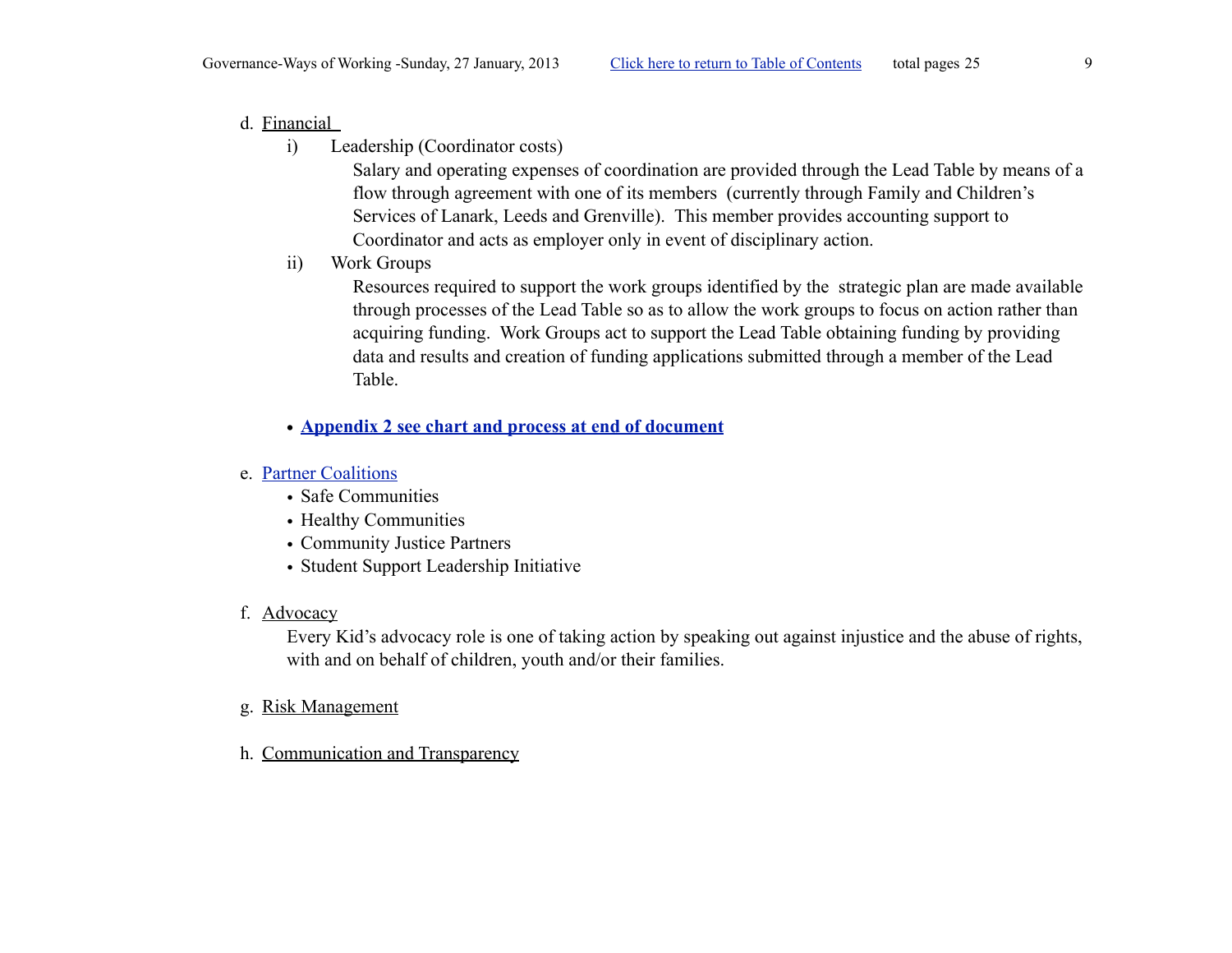## <span id="page-8-0"></span>d. Financial

i) Leadership (Coordinator costs)

<span id="page-8-1"></span>Salary and operating expenses of coordination are provided through the Lead Table by means of a flow through agreement with one of its members (currently through Family and Children's Services of Lanark, Leeds and Grenville). This member provides accounting support to Coordinator and acts as employer only in event of disciplinary action.

ii) Work Groups

<span id="page-8-2"></span>Resources required to support the work groups identified by the strategic plan are made available through processes of the Lead Table so as to allow the work groups to focus on action rather than acquiring funding. Work Groups act to support the Lead Table obtaining funding by providing data and results and creation of funding applications submitted through a member of the Lead Table.

**• [Appendix 2 see chart and process at end of document](#page-16-0)**

## <span id="page-8-3"></span>e. [Partner Coalitions](#page-14-2)

- Safe Communities
- Healthy Communities
- Community Justice Partners
- Student Support Leadership Initiative
- <span id="page-8-4"></span>f. [Advocacy](#page-14-1)

Every Kid's advocacy role is one of taking action by speaking out against injustice and the abuse of rights, with and on behalf of children, youth and/or their families.

- <span id="page-8-5"></span>g. [Risk Management](#page-13-1)
- <span id="page-8-6"></span>h. [Communication](#page-13-0) and Transparency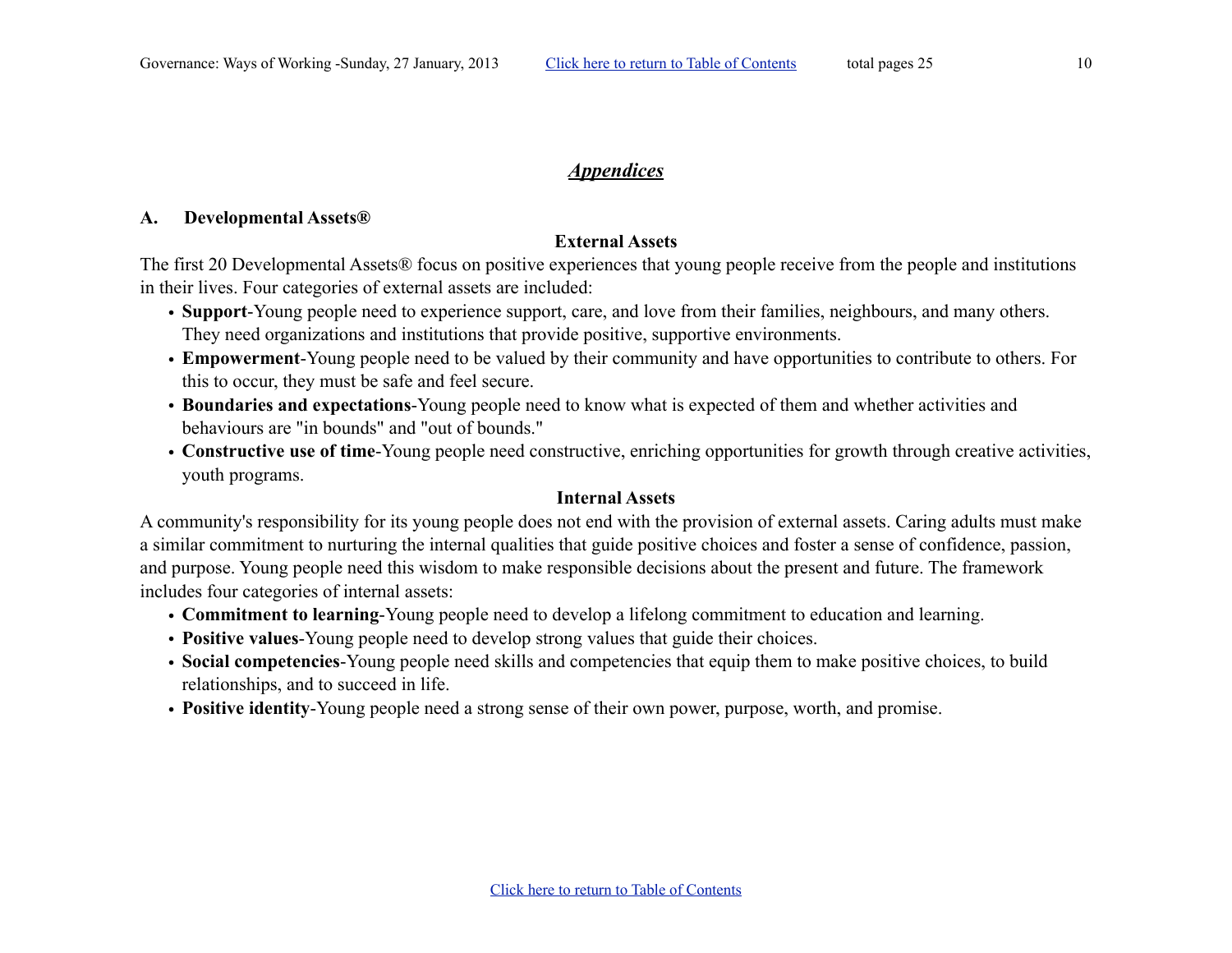### <span id="page-9-0"></span>*Appendices*

#### <span id="page-9-1"></span>**A. Developmental Assets®**

## **External Assets**

The first 20 Developmental Assets® focus on positive experiences that young people receive from the people and institutions in their lives. Four categories of external assets are included:

- **Support**-Young people need to experience support, care, and love from their families, neighbours, and many others. They need organizations and institutions that provide positive, supportive environments.
- **Empowerment**-Young people need to be valued by their community and have opportunities to contribute to others. For this to occur, they must be safe and feel secure.
- **Boundaries and expectations**-Young people need to know what is expected of them and whether activities and behaviours are "in bounds" and "out of bounds."
- **Constructive use of time**-Young people need constructive, enriching opportunities for growth through creative activities, youth programs.

#### **Internal Assets**

A community's responsibility for its young people does not end with the provision of external assets. Caring adults must make a similar commitment to nurturing the internal qualities that guide positive choices and foster a sense of confidence, passion, and purpose. Young people need this wisdom to make responsible decisions about the present and future. The framework includes four categories of internal assets:

- **Commitment to learning**-Young people need to develop a lifelong commitment to education and learning.
- **Positive values**-Young people need to develop strong values that guide their choices.
- **Social competencies**-Young people need skills and competencies that equip them to make positive choices, to build relationships, and to succeed in life.
- **Positive identity**-Young people need a strong sense of their own power, purpose, worth, and promise.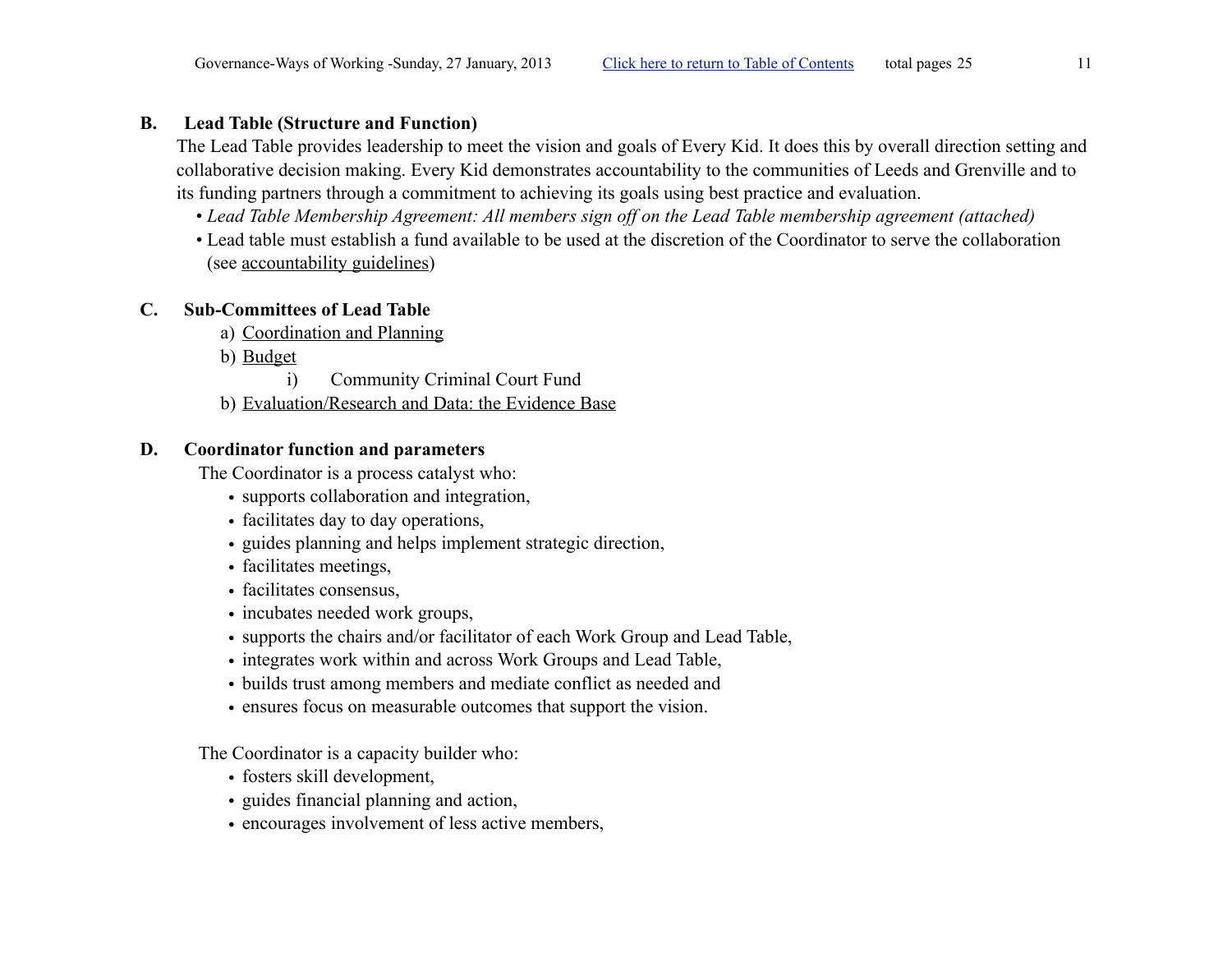## **B. Lead Table (Structure and Function)**

<span id="page-10-0"></span>The Lead Table provides leadership to meet the vision and goals of Every Kid. It does this by overall direction setting and collaborative decision making. Every Kid demonstrates accountability to the communities of Leeds and Grenville and to its funding partners through a commitment to achieving its goals using best practice and evaluation.

- *Lead Table Membership Agreement: All members sign off on the Lead Table membership agreement (attached)*
- Lead table must establish a fund available to be used at the discretion of the Coordinator to serve the collaboration (see accountability guidelines)

## **C. Sub-Committees of Lead Table**

- <span id="page-10-2"></span><span id="page-10-1"></span>a) Coordination and Planning
- <span id="page-10-3"></span>b) Budget
	- i) Community Criminal Court Fund
- <span id="page-10-5"></span><span id="page-10-4"></span>b) Evaluation/Research and Data: the Evidence Base

## **D. Coordinator function and parameters**

<span id="page-10-6"></span>The Coordinator is a process catalyst who:

- supports collaboration and integration,
- facilitates day to day operations,
- guides planning and helps implement strategic direction,
- facilitates meetings,
- facilitates consensus,
- incubates needed work groups,
- supports the chairs and/or facilitator of each Work Group and Lead Table,
- integrates work within and across Work Groups and Lead Table,
- builds trust among members and mediate conflict as needed and
- ensures focus on measurable outcomes that support the vision.

The Coordinator is a capacity builder who:

- fosters skill development,
- guides financial planning and action,
- encourages involvement of less active members,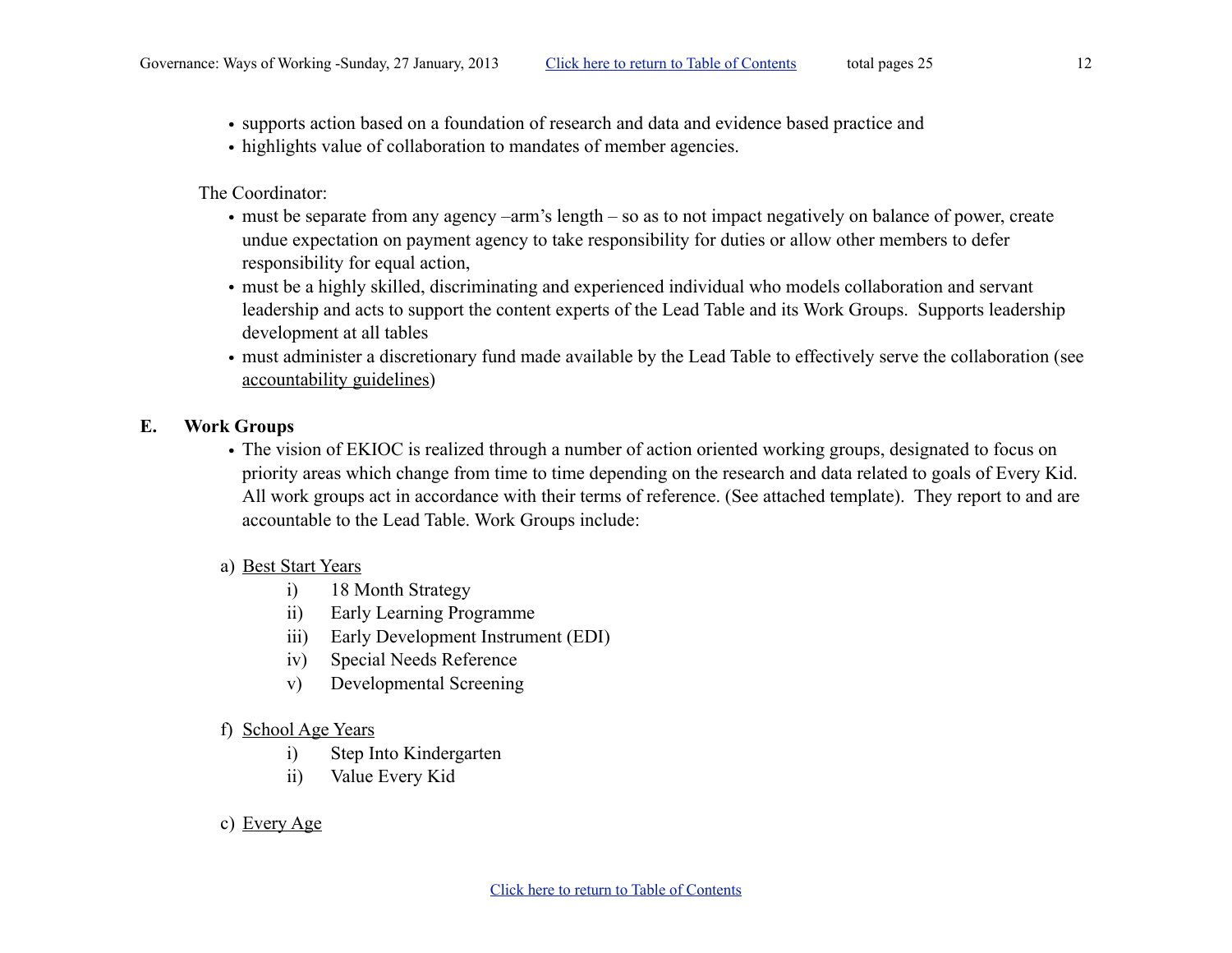- supports action based on a foundation of research and data and evidence based practice and
- highlights value of collaboration to mandates of member agencies.

The Coordinator:

- must be separate from any agency –arm's length so as to not impact negatively on balance of power, create undue expectation on payment agency to take responsibility for duties or allow other members to defer responsibility for equal action,
- must be a highly skilled, discriminating and experienced individual who models collaboration and servant leadership and acts to support the content experts of the Lead Table and its Work Groups. Supports leadership development at all tables
- must administer a discretionary fund made available by the Lead Table to effectively serve the collaboration (see accountability guidelines)

## <span id="page-11-0"></span>**E. Work Groups**

• The vision of EKIOC is realized through a number of action oriented working groups, designated to focus on priority areas which change from time to time depending on the research and data related to goals of Every Kid. All work groups act in accordance with their terms of reference. (See attached template). They report to and are accountable to the Lead Table. Work Groups include:

## <span id="page-11-1"></span>a) Best Start Years

- <span id="page-11-2"></span>i) 18 Month Strategy
- <span id="page-11-3"></span>ii) Early Learning Programme
- <span id="page-11-4"></span>iii) Early Development Instrument (EDI)
- <span id="page-11-5"></span>iv) Special Needs Reference
- <span id="page-11-9"></span><span id="page-11-8"></span><span id="page-11-6"></span>v) Developmental Screening
- <span id="page-11-7"></span>f) School Age Years
	- i) Step Into Kindergarten
	- ii) Value Every Kid
- <span id="page-11-10"></span>c) Every Age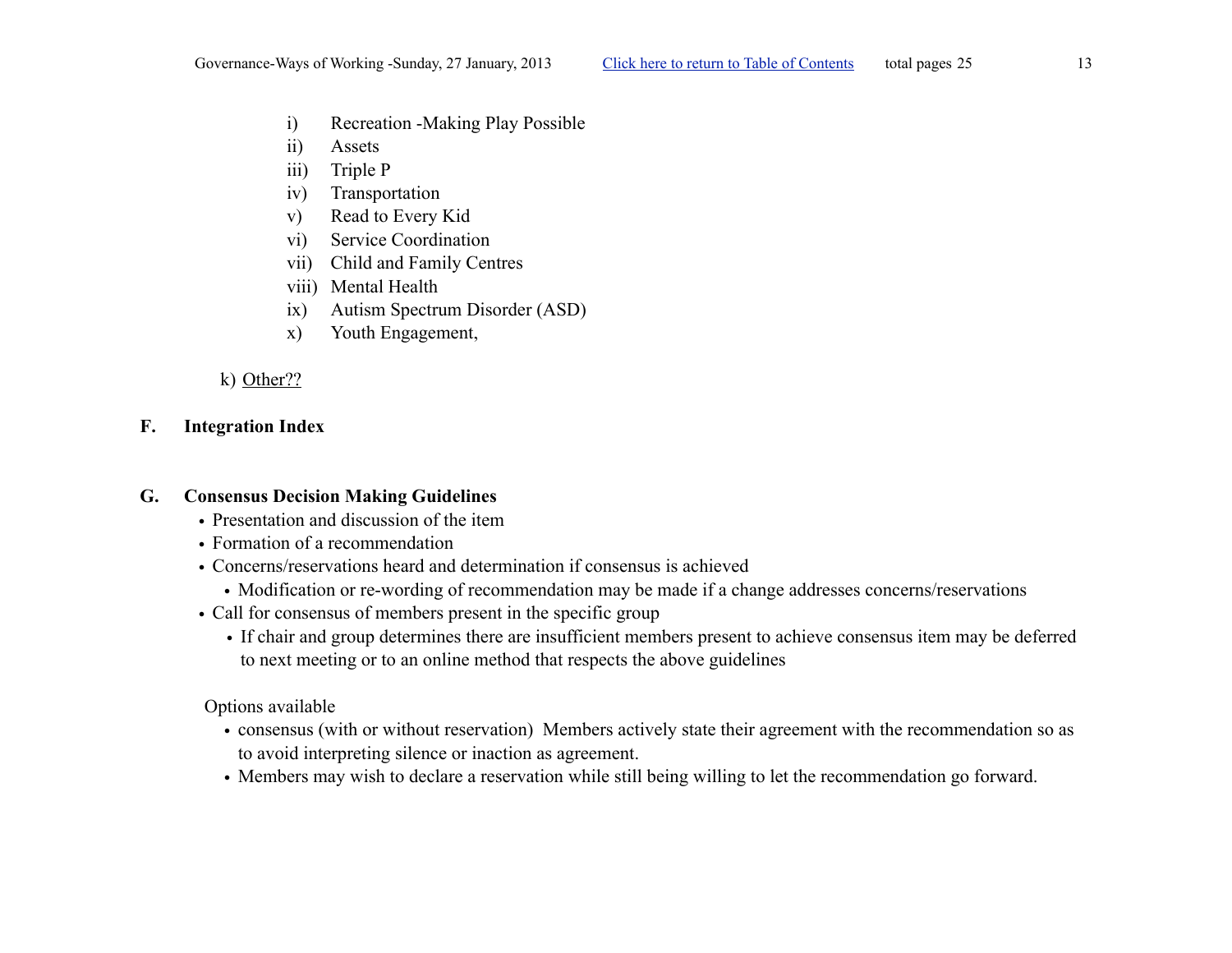- <span id="page-12-0"></span>i) Recreation -Making Play Possible
- <span id="page-12-1"></span>ii) Assets
- <span id="page-12-2"></span>iii) Triple P
- <span id="page-12-3"></span>iv) Transportation
- <span id="page-12-4"></span>v) Read to Every Kid
- <span id="page-12-5"></span>vi) Service Coordination
- <span id="page-12-6"></span>vii) Child and Family Centres
- <span id="page-12-7"></span>viii) Mental Health
- <span id="page-12-8"></span>ix) Autism Spectrum Disorder (ASD)
- <span id="page-12-9"></span>x) Youth Engagement,

#### <span id="page-12-10"></span>k) Other??

#### <span id="page-12-11"></span>**F. Integration Index**

#### **G. Consensus Decision Making Guidelines**

- <span id="page-12-12"></span>• Presentation and discussion of the item
- Formation of a recommendation
- Concerns/reservations heard and determination if consensus is achieved
	- Modification or re-wording of recommendation may be made if a change addresses concerns/reservations
- Call for consensus of members present in the specific group
	- If chair and group determines there are insufficient members present to achieve consensus item may be deferred to next meeting or to an online method that respects the above guidelines

Options available

- consensus (with or without reservation) Members actively state their agreement with the recommendation so as to avoid interpreting silence or inaction as agreement.
- Members may wish to declare a reservation while still being willing to let the recommendation go forward.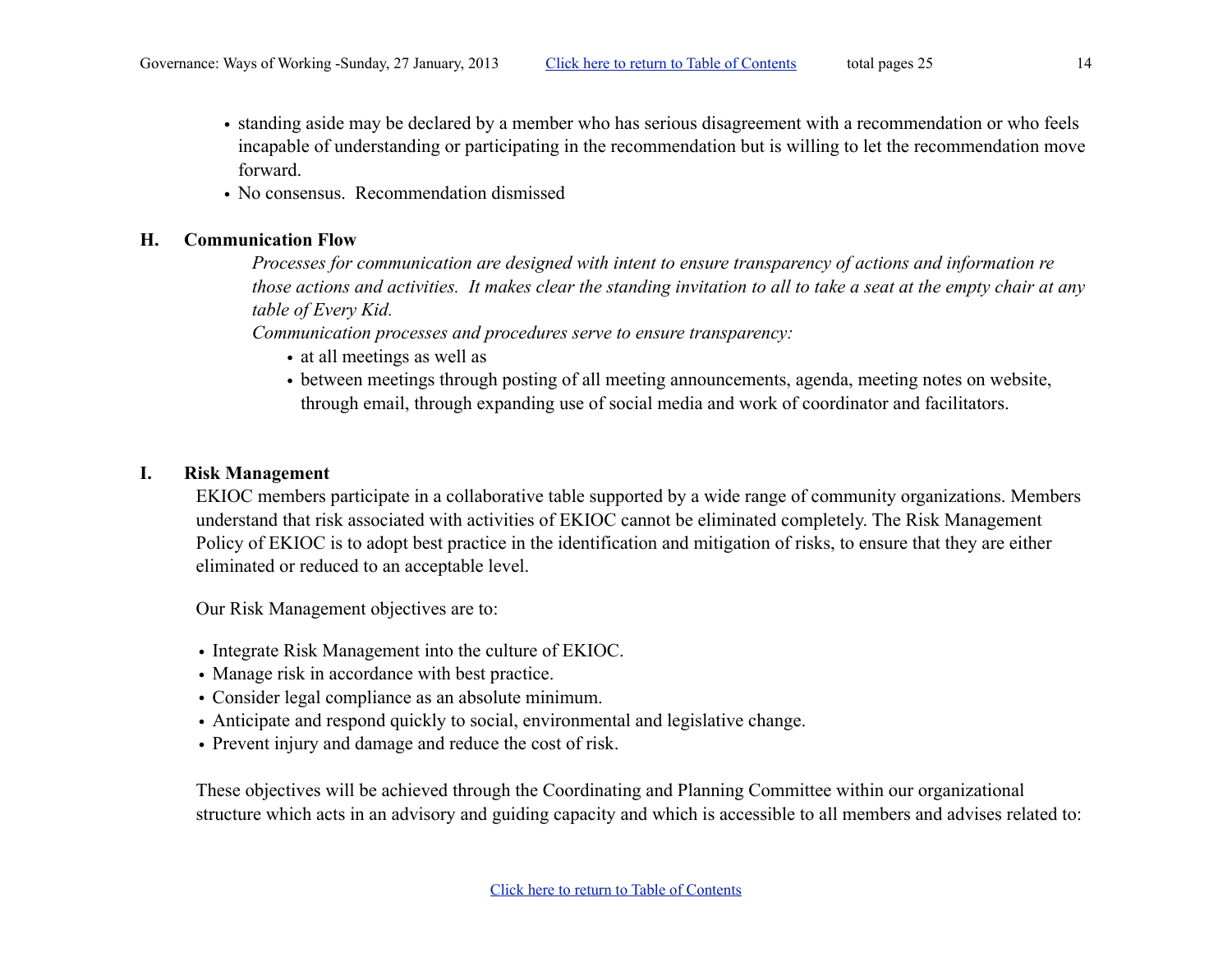- standing aside may be declared by a member who has serious disagreement with a recommendation or who feels incapable of understanding or participating in the recommendation but is willing to let the recommendation move forward.
- No consensus. Recommendation dismissed

#### <span id="page-13-0"></span>**H. Communication Flow**

*Processes for communication are designed with intent to ensure transparency of actions and information re those actions and activities. It makes clear the standing invitation to all to take a seat at the empty chair at any table of Every Kid.*

*Communication processes and procedures serve to ensure transparency:*

- at all meetings as well as
- between meetings through posting of all meeting announcements, agenda, meeting notes on website, through email, through expanding use of social media and work of coordinator and facilitators.

### **I. Risk Management**

<span id="page-13-1"></span>EKIOC members participate in a collaborative table supported by a wide range of community organizations. Members understand that risk associated with activities of EKIOC cannot be eliminated completely. The Risk Management Policy of EKIOC is to adopt best practice in the identification and mitigation of risks, to ensure that they are either eliminated or reduced to an acceptable level.

Our Risk Management objectives are to:

- Integrate Risk Management into the culture of EKIOC.
- Manage risk in accordance with best practice.
- Consider legal compliance as an absolute minimum.
- Anticipate and respond quickly to social, environmental and legislative change.
- Prevent injury and damage and reduce the cost of risk.

These objectives will be achieved through the Coordinating and Planning Committee within our organizational structure which acts in an advisory and guiding capacity and which is accessible to all members and advises related to: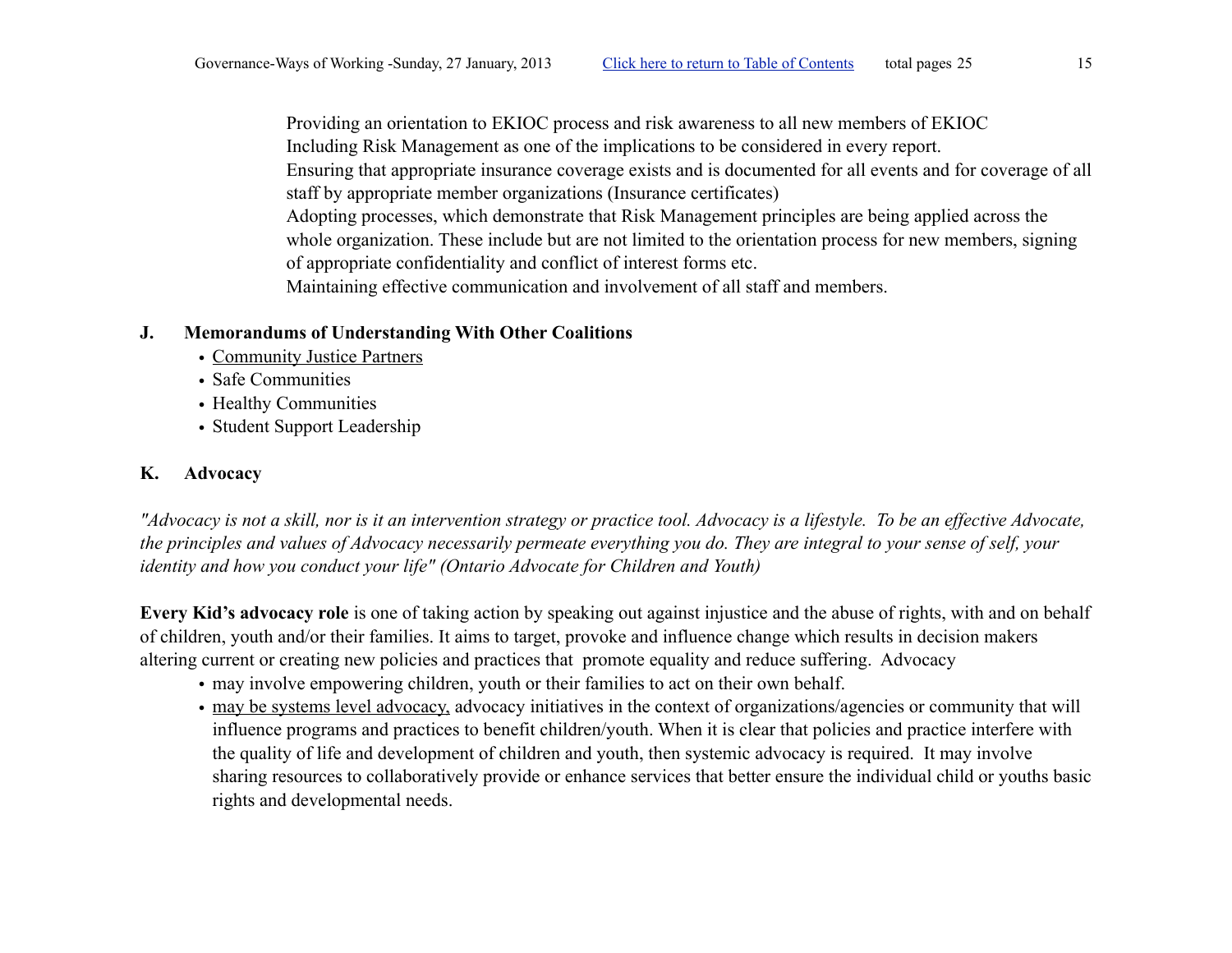<span id="page-14-2"></span>Providing an orientation to EKIOC process and risk awareness to all new members of EKIOC Including Risk Management as one of the implications to be considered in every report. Ensuring that appropriate insurance coverage exists and is documented for all events and for coverage of all staff by appropriate member organizations (Insurance certificates) Adopting processes, which demonstrate that Risk Management principles are being applied across the whole organization. These include but are not limited to the orientation process for new members, signing of appropriate confidentiality and conflict of interest forms etc. Maintaining effective communication and involvement of all staff and members.

## **J. Memorandums of Understanding With Other Coalitions**

- <span id="page-14-0"></span>• Community Justice Partners
- Safe Communities
- Healthy Communities
- Student Support Leadership

# <span id="page-14-1"></span>**K. Advocacy**

*"Advocacy is not a skill, nor is it an intervention strategy or practice tool. Advocacy is a lifestyle. To be an effective Advocate, the principles and values of Advocacy necessarily permeate everything you do. They are integral to your sense of self, your identity and how you conduct your life" (Ontario Advocate for Children and Youth)*

**Every Kid's advocacy role** is one of taking action by speaking out against injustice and the abuse of rights, with and on behalf of children, youth and/or their families. It aims to target, provoke and influence change which results in decision makers altering current or creating new policies and practices that promote equality and reduce suffering. Advocacy

- may involve empowering children, youth or their families to act on their own behalf.
- may be systems level advocacy, advocacy initiatives in the context of organizations/agencies or community that will influence programs and practices to benefit children/youth. When it is clear that policies and practice interfere with the quality of life and development of children and youth, then systemic advocacy is required. It may involve sharing resources to collaboratively provide or enhance services that better ensure the individual child or youths basic rights and developmental needs.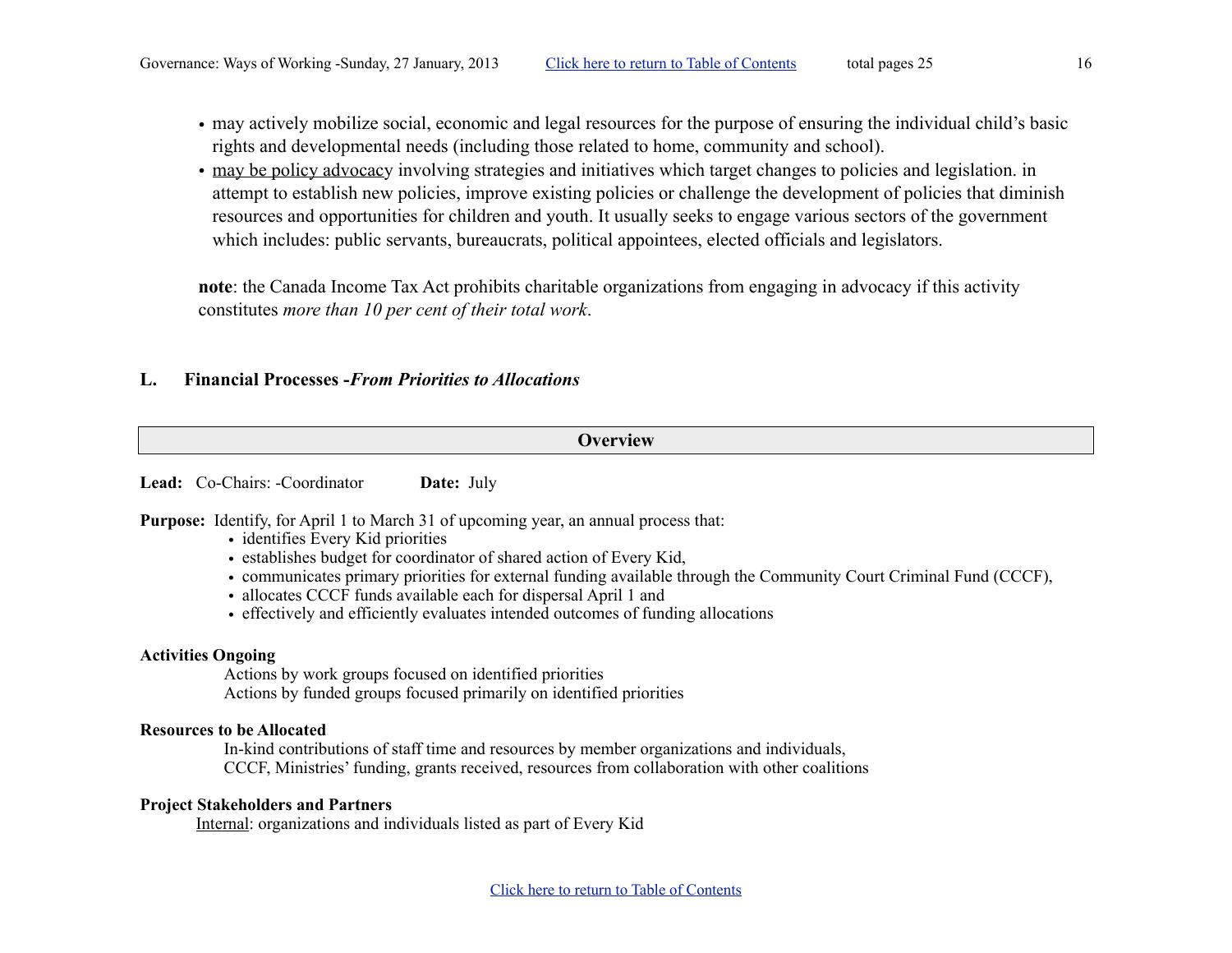- may actively mobilize social, economic and legal resources for the purpose of ensuring the individual child's basic rights and developmental needs (including those related to home, community and school).
- may be policy advocacy involving strategies and initiatives which target changes to policies and legislation. in attempt to establish new policies, improve existing policies or challenge the development of policies that diminish resources and opportunities for children and youth. It usually seeks to engage various sectors of the government which includes: public servants, bureaucrats, political appointees, elected officials and legislators.

**note**: the Canada Income Tax Act prohibits charitable organizations from engaging in advocacy if this activity constitutes *more than 10 per cent of their total work*.

#### <span id="page-15-0"></span>**L. Financial Processes -***From Priorities to Allocations*

#### **Overview**

Lead: Co-Chairs: -Coordinator **Date:** July

**Purpose:** Identify, for April 1 to March 31 of upcoming year, an annual process that:

- identifies Every Kid priorities
- establishes budget for coordinator of shared action of Every Kid,
- communicates primary priorities for external funding available through the Community Court Criminal Fund (CCCF),
- allocates CCCF funds available each for dispersal April 1 and
- effectively and efficiently evaluates intended outcomes of funding allocations

#### **Activities Ongoing**

Actions by work groups focused on identified priorities Actions by funded groups focused primarily on identified priorities

#### **Resources to be Allocated**

In-kind contributions of staff time and resources by member organizations and individuals, CCCF, Ministries' funding, grants received, resources from collaboration with other coalitions

#### **Project Stakeholders and Partners**

Internal: organizations and individuals listed as part of Every Kid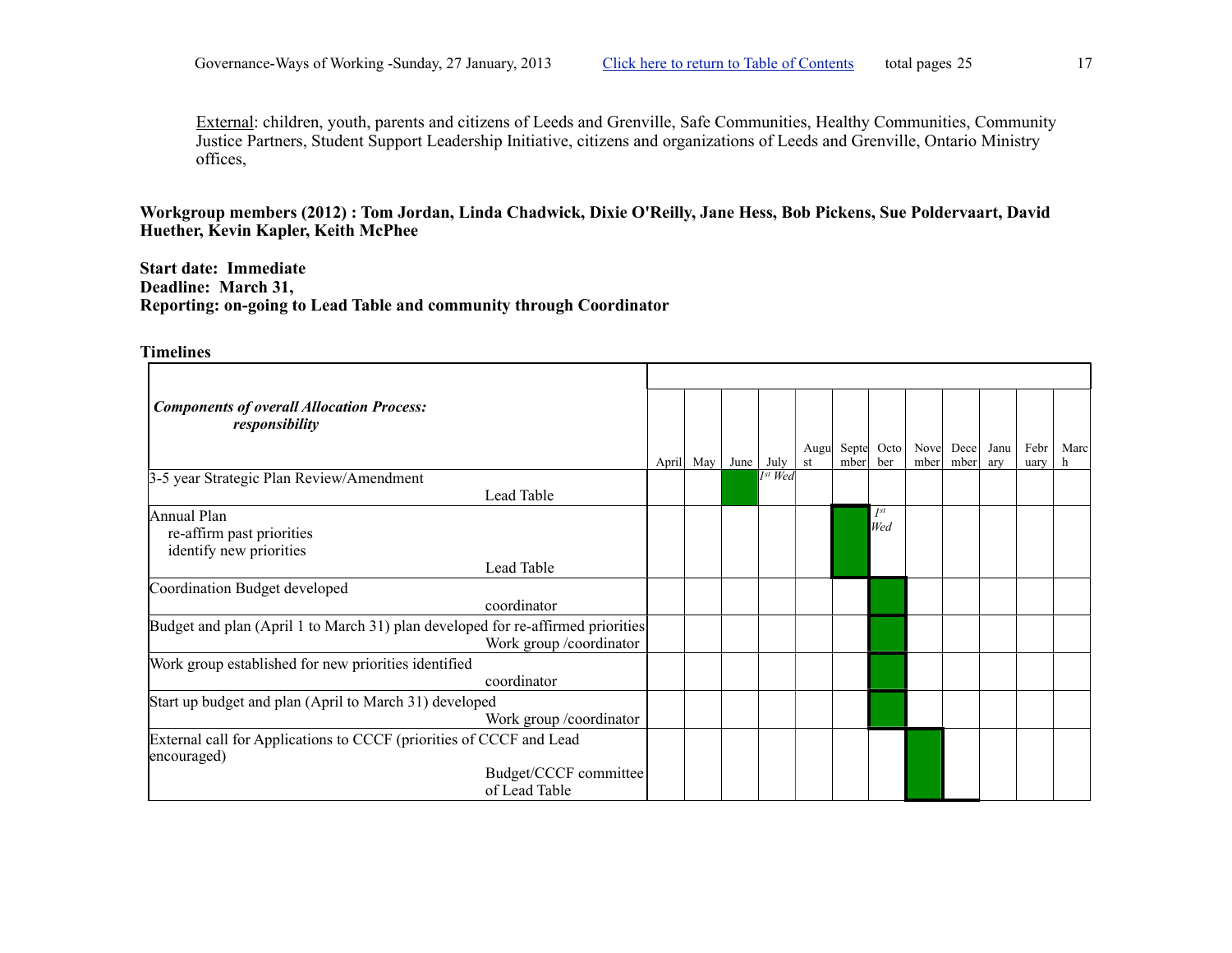External: children, youth, parents and citizens of Leeds and Grenville, Safe Communities, Healthy Communities, Community Justice Partners, Student Support Leadership Initiative, citizens and organizations of Leeds and Grenville, Ontario Ministry offices,

**Workgroup members (2012) : Tom Jordan, Linda Chadwick, Dixie O'Reilly, Jane Hess, Bob Pickens, Sue Poldervaart, David Huether, Kevin Kapler, Keith McPhee**

**Start date: Immediate Deadline: March 31, Reporting: on-going to Lead Table and community through Coordinator**

| <b>Components of overall Allocation Process:</b><br>responsibility                                         |       |     |      |                         | Augu | Septe | Octo            | Nove | Dece | Janu | Febr | Marc |
|------------------------------------------------------------------------------------------------------------|-------|-----|------|-------------------------|------|-------|-----------------|------|------|------|------|------|
|                                                                                                            | April | May | June | July                    | st   | mber  | ber             | mber | mber | ary  | uary | h    |
| 3-5 year Strategic Plan Review/Amendment                                                                   |       |     |      | $\overline{I^{st}}$ Wed |      |       |                 |      |      |      |      |      |
| Lead Table                                                                                                 |       |     |      |                         |      |       |                 |      |      |      |      |      |
| Annual Plan<br>re-affirm past priorities<br>identify new priorities                                        |       |     |      |                         |      |       | $I^{st}$<br>Wed |      |      |      |      |      |
| Lead Table                                                                                                 |       |     |      |                         |      |       |                 |      |      |      |      |      |
| Coordination Budget developed<br>coordinator                                                               |       |     |      |                         |      |       |                 |      |      |      |      |      |
| Budget and plan (April 1 to March 31) plan developed for re-affirmed priorities<br>Work group /coordinator |       |     |      |                         |      |       |                 |      |      |      |      |      |
| Work group established for new priorities identified<br>coordinator                                        |       |     |      |                         |      |       |                 |      |      |      |      |      |
| Start up budget and plan (April to March 31) developed<br>Work group /coordinator                          |       |     |      |                         |      |       |                 |      |      |      |      |      |
| External call for Applications to CCCF (priorities of CCCF and Lead<br>encouraged)                         |       |     |      |                         |      |       |                 |      |      |      |      |      |
| Budget/CCCF committee<br>of Lead Table                                                                     |       |     |      |                         |      |       |                 |      |      |      |      |      |

<span id="page-16-0"></span>**Timelines**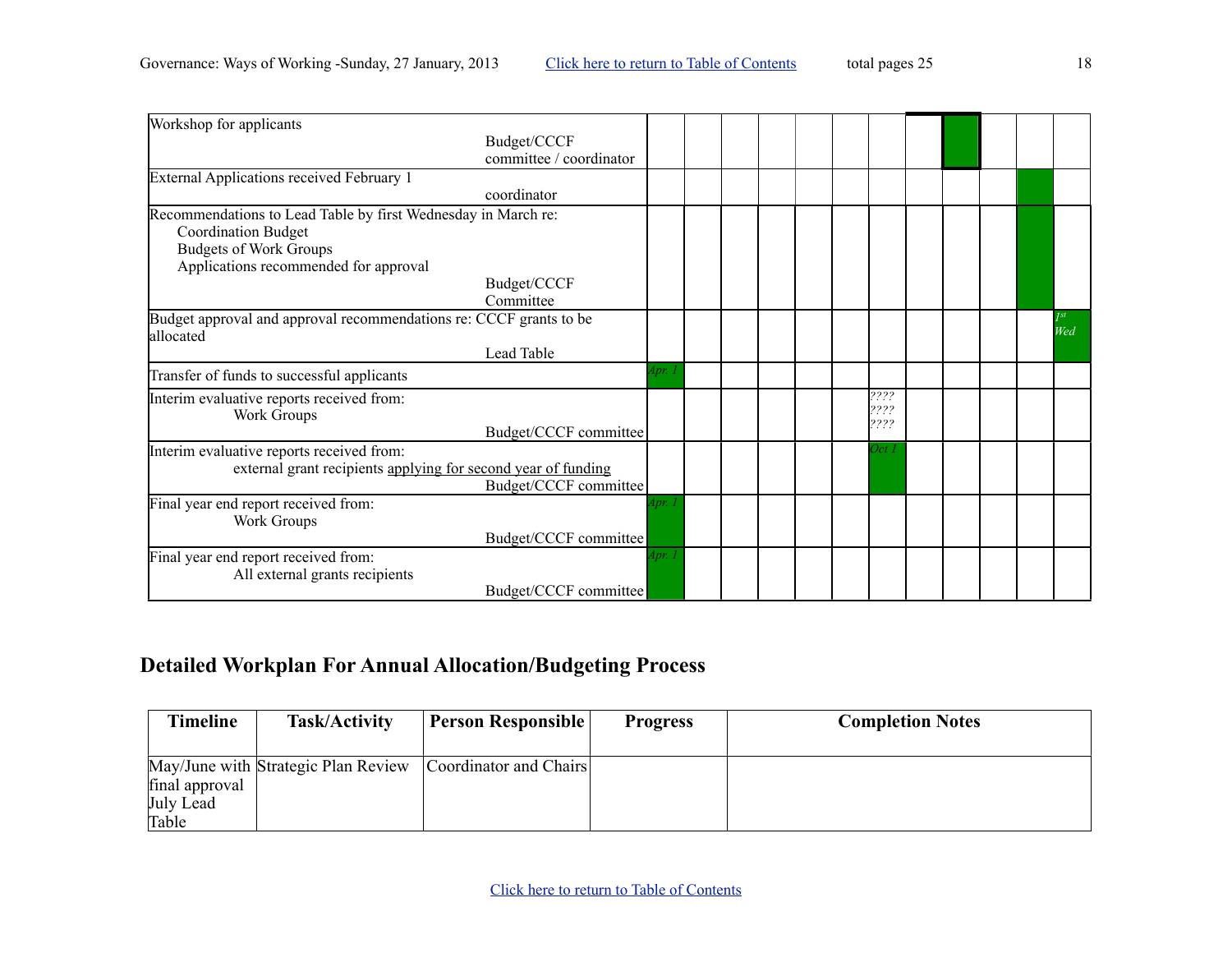| Workshop for applicants                                                         |                                        |        |  |  |              |  |  |             |
|---------------------------------------------------------------------------------|----------------------------------------|--------|--|--|--------------|--|--|-------------|
|                                                                                 | Budget/CCCF<br>committee / coordinator |        |  |  |              |  |  |             |
| External Applications received February 1                                       |                                        |        |  |  |              |  |  |             |
|                                                                                 | coordinator                            |        |  |  |              |  |  |             |
| Recommendations to Lead Table by first Wednesday in March re:                   |                                        |        |  |  |              |  |  |             |
| <b>Coordination Budget</b>                                                      |                                        |        |  |  |              |  |  |             |
| <b>Budgets of Work Groups</b>                                                   |                                        |        |  |  |              |  |  |             |
| Applications recommended for approval                                           |                                        |        |  |  |              |  |  |             |
|                                                                                 | Budget/CCCF                            |        |  |  |              |  |  |             |
|                                                                                 | Committee                              |        |  |  |              |  |  |             |
| Budget approval and approval recommendations re: CCCF grants to be<br>allocated |                                        |        |  |  |              |  |  | Jst <br>Wed |
|                                                                                 | Lead Table                             |        |  |  |              |  |  |             |
| Transfer of funds to successful applicants                                      |                                        | 4pr. . |  |  |              |  |  |             |
| Interim evaluative reports received from:                                       |                                        |        |  |  | ????         |  |  |             |
| Work Groups                                                                     |                                        |        |  |  | ????<br>???? |  |  |             |
|                                                                                 | Budget/CCCF committee                  |        |  |  |              |  |  |             |
| Interim evaluative reports received from:                                       |                                        |        |  |  | Oct i        |  |  |             |
| external grant recipients applying for second year of funding                   |                                        |        |  |  |              |  |  |             |
|                                                                                 | Budget/CCCF committee                  |        |  |  |              |  |  |             |
| Final year end report received from:                                            |                                        | lpr.   |  |  |              |  |  |             |
| Work Groups                                                                     |                                        |        |  |  |              |  |  |             |
|                                                                                 | Budget/CCCF committee                  |        |  |  |              |  |  |             |
| Final year end report received from:                                            |                                        | lpr. . |  |  |              |  |  |             |
| All external grants recipients                                                  |                                        |        |  |  |              |  |  |             |
|                                                                                 | Budget/CCCF committee                  |        |  |  |              |  |  |             |

# **Detailed Workplan For Annual Allocation/Budgeting Process**

| <b>Timeline</b>    | Task/Activity                       | Person Responsible     | <b>Progress</b> | <b>Completion Notes</b> |
|--------------------|-------------------------------------|------------------------|-----------------|-------------------------|
| final approval     | May/June with Strategic Plan Review | Coordinator and Chairs |                 |                         |
| July Lead<br>Table |                                     |                        |                 |                         |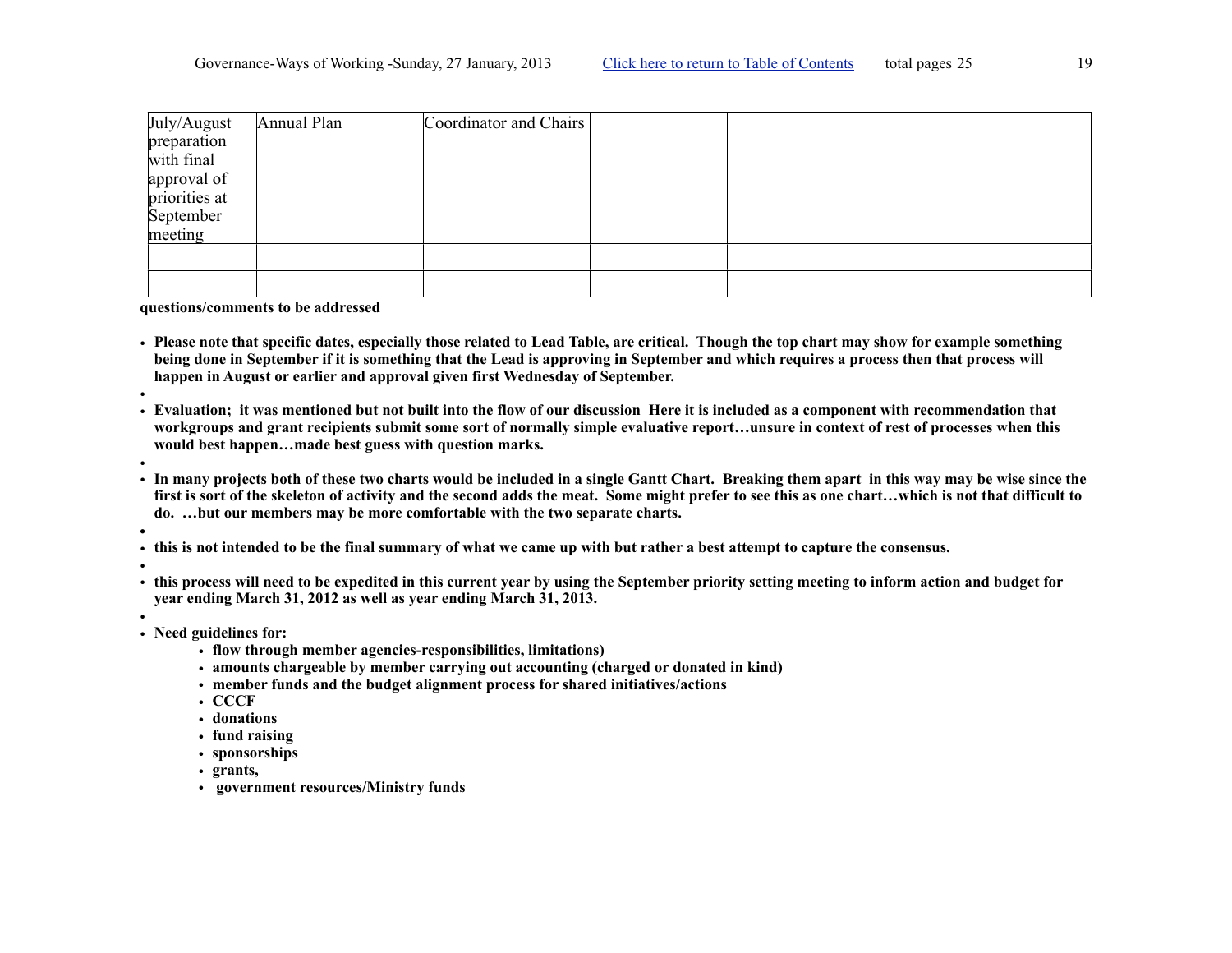| July/August   | Annual Plan | Coordinator and Chairs |  |
|---------------|-------------|------------------------|--|
| preparation   |             |                        |  |
| with final    |             |                        |  |
| approval of   |             |                        |  |
| priorities at |             |                        |  |
| September     |             |                        |  |
| meeting       |             |                        |  |
|               |             |                        |  |
|               |             |                        |  |
|               |             |                        |  |

**questions/comments to be addressed**

- **Please note that specific dates, especially those related to Lead Table, are critical. Though the top chart may show for example something being done in September if it is something that the Lead is approving in September and which requires a process then that process will happen in August or earlier and approval given first Wednesday of September.**
- • **Evaluation; it was mentioned but not built into the flow of our discussion Here it is included as a component with recommendation that workgroups and grant recipients submit some sort of normally simple evaluative report…unsure in context of rest of processes when this would best happen…made best guess with question marks.**
- •
- **In many projects both of these two charts would be included in a single Gantt Chart. Breaking them apart in this way may be wise since the first is sort of the skeleton of activity and the second adds the meat. Some might prefer to see this as one chart…which is not that difficult to do. …but our members may be more comfortable with the two separate charts.**
- **•**
- **this is not intended to be the final summary of what we came up with but rather a best attempt to capture the consensus.**
- •
- **this process will need to be expedited in this current year by using the September priority setting meeting to inform action and budget for year ending March 31, 2012 as well as year ending March 31, 2013.**
- • **Need guidelines for:**
	- **flow through member agencies-responsibilities, limitations)**
	- **amounts chargeable by member carrying out accounting (charged or donated in kind)**
	- **member funds and the budget alignment process for shared initiatives/actions**
	- **CCCF**
	- **donations**
	- **fund raising**
	- **sponsorships**
	- **grants,**
	- • **government resources/Ministry funds**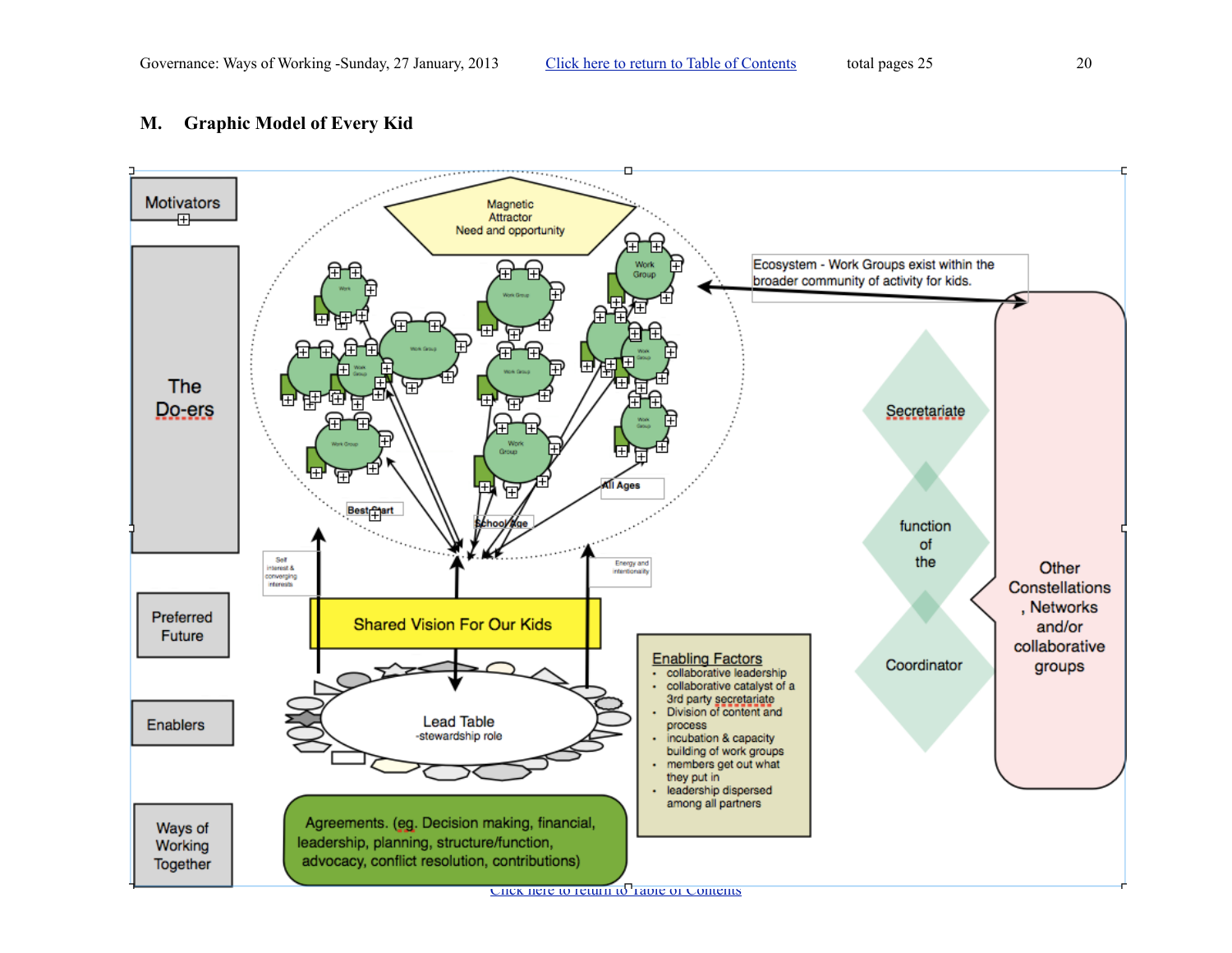## <span id="page-19-0"></span>**M. Graphic Model of Every Kid**



[Click here to return to Table of Contents](#page-0-0)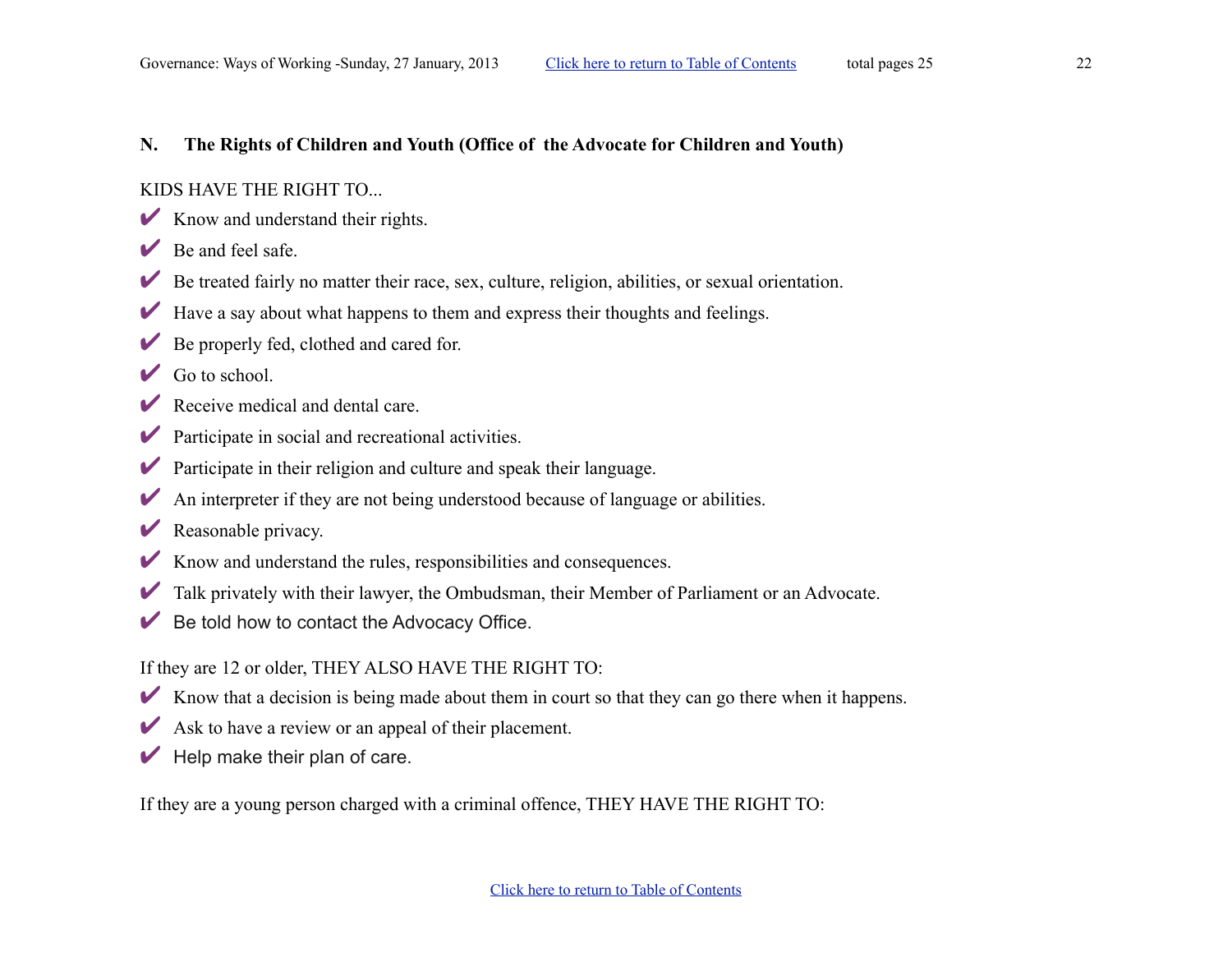#### <span id="page-21-0"></span>**N. The Rights of Children and Youth (Office of the Advocate for Children and Youth)**

#### KIDS HAVE THE RIGHT TO...

- $\triangleright$  Know and understand their rights.
- $\vee$  Be and feel safe.
- $\triangleright$  Be treated fairly no matter their race, sex, culture, religion, abilities, or sexual orientation.
- $\blacktriangleright$  Have a say about what happens to them and express their thoughts and feelings.
- $\triangleright$  Be properly fed, clothed and cared for.
- $\vee$  Go to school.
- $\triangleright$  Receive medical and dental care.
- $\triangleright$  Participate in social and recreational activities.
- $\triangleright$  Participate in their religion and culture and speak their language.
- $\blacktriangleright$  An interpreter if they are not being understood because of language or abilities.
- $\triangleright$  Reasonable privacy.
- $\triangleright$  Know and understand the rules, responsibilities and consequences.
- ✔ Talk privately with their lawyer, the Ombudsman, their Member of Parliament or an Advocate.
- $\vee$  Be told how to contact the Advocacy Office.

## If they are 12 or older, THEY ALSO HAVE THE RIGHT TO:

- ✔ Know that a decision is being made about them in court so that they can go there when it happens.
- $\triangleright$  Ask to have a review or an appeal of their placement.
- $\blacktriangleright$  Help make their plan of care.

If they are a young person charged with a criminal offence, THEY HAVE THE RIGHT TO: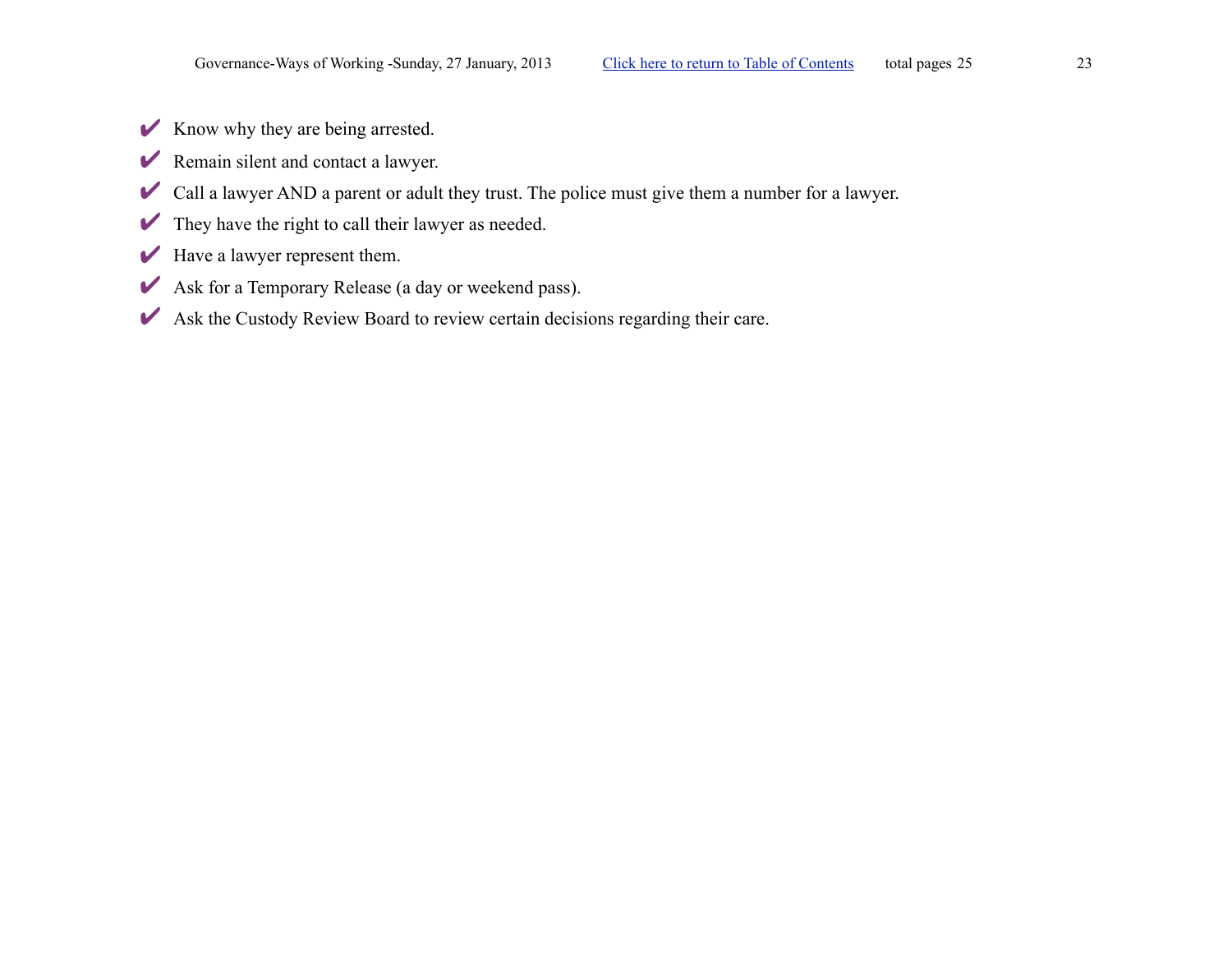- $\blacktriangleright$  Know why they are being arrested.
- ✔ Remain silent and contact a lawyer.
- ✔ Call a lawyer AND a parent or adult they trust. The police must give them a number for a lawyer.
- $\blacktriangleright$  They have the right to call their lawyer as needed.
- $\blacktriangleright$  Have a lawyer represent them.
- ✔ Ask for a Temporary Release (a day or weekend pass).
- ✔ Ask the Custody Review Board to review certain decisions regarding their care.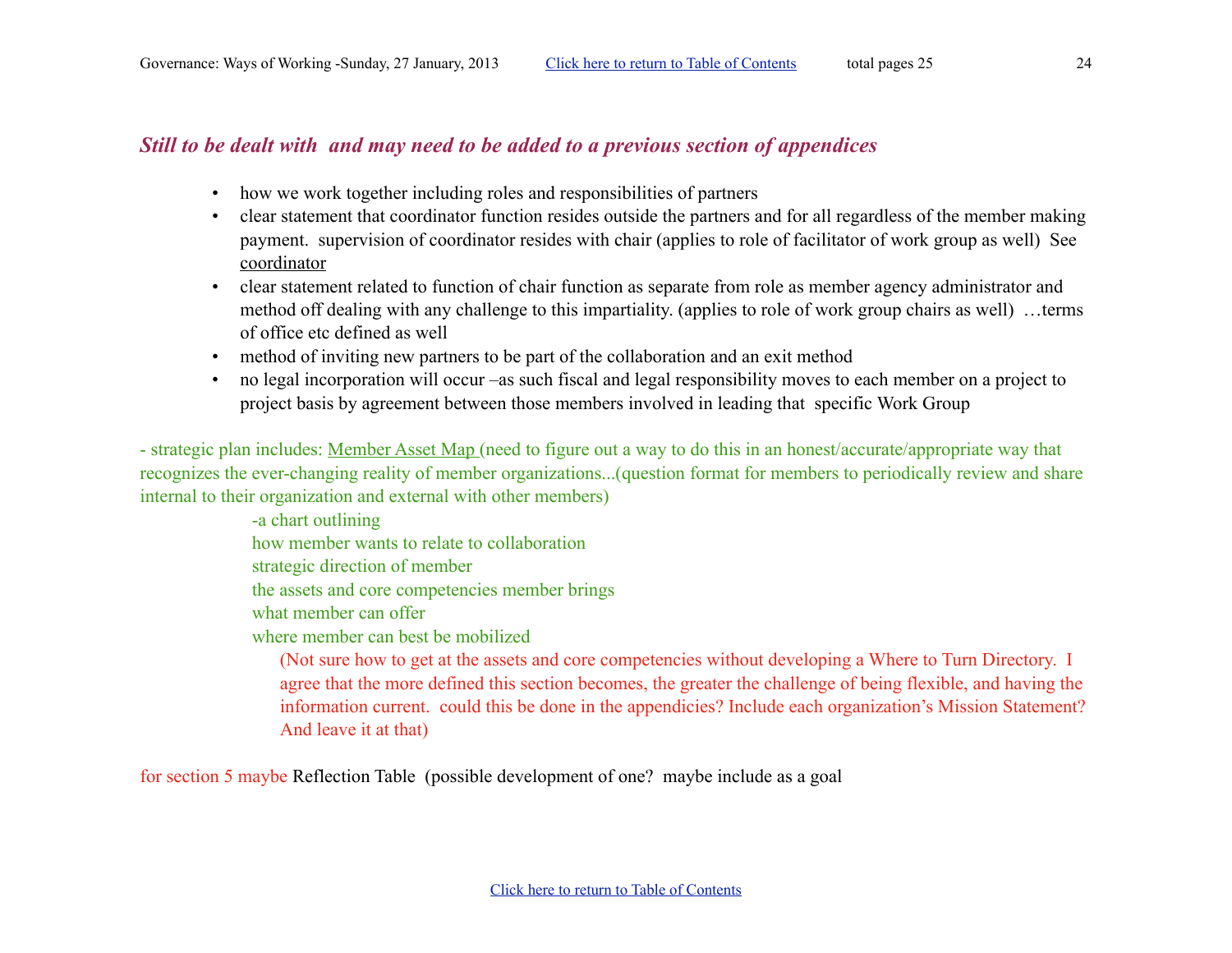## *Still to be dealt with and may need to be added to a previous section of appendices*

- how we work together including roles and responsibilities of partners
- clear statement that coordinator function resides outside the partners and for all regardless of the member making payment. supervision of coordinator resides with chair (applies to role of facilitator of work group as well) See [coordinator](#page-10-6)
- clear statement related to function of chair function as separate from role as member agency administrator and method off dealing with any challenge to this impartiality. (applies to role of work group chairs as well) …terms of office etc defined as well
- method of inviting new partners to be part of the collaboration and an exit method
- no legal incorporation will occur –as such fiscal and legal responsibility moves to each member on a project to project basis by agreement between those members involved in leading that specific Work Group

- strategic plan includes: Member Asset Map (need to figure out a way to do this in an honest/accurate/appropriate way that recognizes the ever-changing reality of member organizations...(question format for members to periodically review and share internal to their organization and external with other members)

> -a chart outlining how member wants to relate to collaboration strategic direction of member

the assets and core competencies member brings

what member can offer

where member can best be mobilized

(Not sure how to get at the assets and core competencies without developing a Where to Turn Directory. I agree that the more defined this section becomes, the greater the challenge of being flexible, and having the information current. could this be done in the appendicies? Include each organization's Mission Statement? And leave it at that)

for section 5 maybe Reflection Table (possible development of one? maybe include as a goal